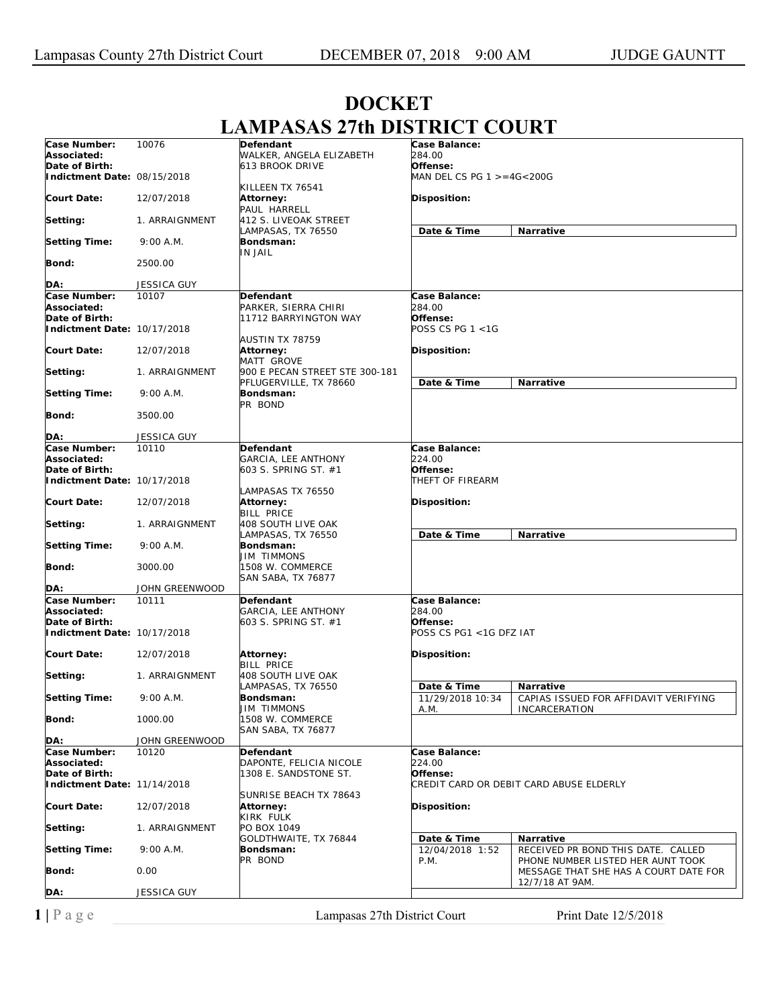|                               |                    | LAMI A9A9 4700 DI9 I NIC I COUNT           |                           |                                                                            |
|-------------------------------|--------------------|--------------------------------------------|---------------------------|----------------------------------------------------------------------------|
| Case Number:                  | 10076              | Defendant                                  | Case Balance:             |                                                                            |
| Associated:                   |                    | WALKER, ANGELA ELIZABETH                   | <i>284.00</i>             |                                                                            |
| Date of Birth:                |                    | 613 BROOK DRIVE                            | Offense:                  |                                                                            |
| Indictment Date: 08/15/2018   |                    | KILLEEN TX 76541                           | MAN DEL CS PG 1 >=4G<200G |                                                                            |
| <b>Court Date:</b>            | 12/07/2018         | Attorney:                                  | Disposition:              |                                                                            |
| Setting:                      | 1. ARRAIGNMENT     | PAUL HARRELL<br>412 S. LIVEOAK STREET      |                           |                                                                            |
| <b>Setting Time:</b>          | 9:00 A.M.          | LAMPASAS, TX 76550<br>Bondsman:<br>IN JAIL | Date & Time               | Narrative                                                                  |
| Bond:                         | 2500.00            |                                            |                           |                                                                            |
| DA:                           | <b>JESSICA GUY</b> |                                            |                           |                                                                            |
| Case Number:                  | 10107              | Defendant                                  | Case Balance:             |                                                                            |
| Associated:                   |                    | PARKER, SIERRA CHIRI                       | <i>284.00</i>             |                                                                            |
| Date of Birth:                |                    | 11712 BARRYINGTON WAY                      | Offense:                  |                                                                            |
| Indictment Date: 10/17/2018   |                    |                                            | POSS CS PG 1 <1G          |                                                                            |
| <b>Court Date:</b>            | 12/07/2018         | <b>AUSTIN TX 78759</b><br>Attorney:        | Disposition:              |                                                                            |
|                               |                    | MATT GROVE                                 |                           |                                                                            |
| Setting:                      | 1. ARRAIGNMENT     | 900 E PECAN STREET STE 300-181             |                           |                                                                            |
|                               |                    | PFLUGERVILLE, TX 78660                     | Date & Time               | Narrative                                                                  |
| <b>Setting Time:</b>          | 9:00 A.M.          | Bondsman:<br>PR BOND                       |                           |                                                                            |
| <b>Bond:</b>                  | 3500.00            |                                            |                           |                                                                            |
| DA:                           | <b>JESSICA GUY</b> |                                            |                           |                                                                            |
| Case Number:                  | 10110              | Defendant                                  | Case Balance:             |                                                                            |
| Associated:<br>Date of Birth: |                    | <b>GARCIA, LEE ANTHONY</b>                 | 224.00<br>Offense:        |                                                                            |
| Indictment Date: 10/17/2018   |                    | 603 S. SPRING ST. #1                       | THEFT OF FIREARM          |                                                                            |
|                               |                    | LAMPASAS TX 76550                          |                           |                                                                            |
| <b>Court Date:</b>            | 12/07/2018         | Attorney:<br><b>BILL PRICE</b>             | Disposition:              |                                                                            |
| Setting:                      | 1. ARRAIGNMENT     | 408 SOUTH LIVE OAK<br>LAMPASAS, TX 76550   | Date & Time               | Narrative                                                                  |
| <b>Setting Time:</b>          | 9:00 A.M.          | Bondsman:<br>JIM TIMMONS                   |                           |                                                                            |
| <b>Bond:</b>                  | 3000.00            | 1508 W. COMMERCE<br>SAN SABA, TX 76877     |                           |                                                                            |
| DA:                           | JOHN GREENWOOD     |                                            |                           |                                                                            |
| Case Number:                  | 10111              | Defendant                                  | Case Balance:             |                                                                            |
| Associated:                   |                    | GARCIA, LEE ANTHONY                        | 284.00                    |                                                                            |
| Date of Birth:                |                    | 603 S. SPRING ST. #1                       | Offense:                  |                                                                            |
| Indictment Date: 10/17/2018   |                    |                                            | POSS CS PG1 <1G DFZ IAT   |                                                                            |
| <b>Court Date:</b>            | 12/07/2018         | Attorney:                                  | Disposition:              |                                                                            |
| Setting:                      | 1. ARRAIGNMENT     | BILL PRICE<br>408 SOUTH LIVE OAK           |                           |                                                                            |
|                               |                    | LAMPASAS, TX 76550                         | Date & Time               | Narrative                                                                  |
| <b>Setting Time:</b>          | 9:00 A.M.          | Bondsman:                                  | 11/29/2018 10:34          | CAPIAS ISSUED FOR AFFIDAVIT VERIFYING                                      |
| Bond:                         | 1000.00            | <b>JIM TIMMONS</b><br>1508 W. COMMERCE     | A.M.                      | <b>INCARCERATION</b>                                                       |
| DA:                           | JOHN GREENWOOD     | <b>SAN SABA, TX 76877</b>                  |                           |                                                                            |
| Case Number:                  | 10120              | Defendant                                  | Case Balance:             |                                                                            |
| Associated:                   |                    | DAPONTE, FELICIA NICOLE                    | <i>224.00</i>             |                                                                            |
| Date of Birth:                |                    | 1308 E. SANDSTONE ST.                      | Offense:                  |                                                                            |
| Indictment Date: 11/14/2018   |                    |                                            |                           | CREDIT CARD OR DEBIT CARD ABUSE ELDERLY                                    |
| <b>Court Date:</b>            | 12/07/2018         | SUNRISE BEACH TX 78643<br>Attorney:        | Disposition:              |                                                                            |
| Setting:                      | 1. ARRAIGNMENT     | KIRK FULK<br>PO BOX 1049                   |                           |                                                                            |
|                               |                    | GOLDTHWAITE, TX 76844                      | Date & Time               | Narrative                                                                  |
| <b>Setting Time:</b>          | 9:00 A.M.          | Bondsman:                                  | 12/04/2018 1:52           | RECEIVED PR BOND THIS DATE. CALLED                                         |
| <b>Bond:</b>                  | 0.00               | PR BOND                                    | P.M.                      | PHONE NUMBER LISTED HER AUNT TOOK<br>MESSAGE THAT SHE HAS A COURT DATE FOR |
| DA:                           | <b>JESSICA GUY</b> |                                            |                           | 12/7/18 AT 9AM.                                                            |
|                               |                    |                                            |                           |                                                                            |

## **DOCKET LAMPASAS 27th DISTRICT COURT**

**1** | P a g e Lampasas 27th District Court Print Date 12/5/2018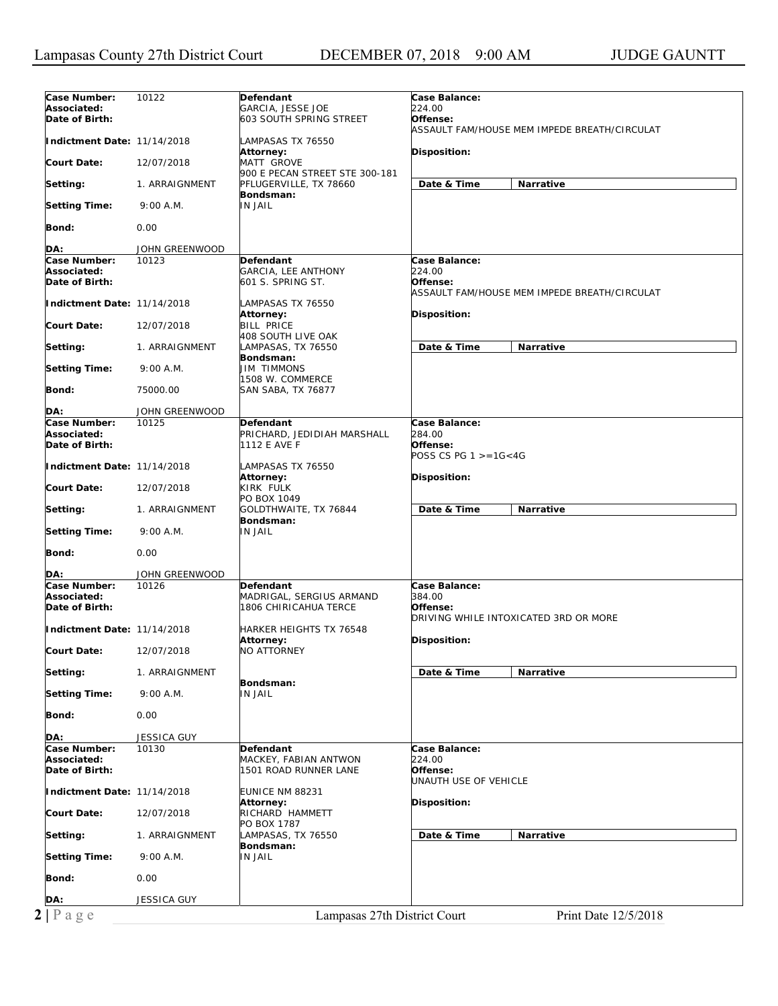| Indictment Date: 11/14/2018<br>LAMPASAS TX 76550<br>Attorney:<br><b>Disposition:</b><br><b>MATT GROVE</b><br>12/07/2018<br>900 E PECAN STREET STE 300-181<br>Date & Time<br>Narrative<br>PFLUGERVILLE, TX 78660<br>1. ARRAIGNMENT<br>Bondsman:<br><b>IN JAIL</b><br>9:00 A.M.<br>0.00<br>JOHN GREENWOOD<br>Defendant<br>Case Balance:<br>10123<br>224.00<br>Associated:<br>GARCIA, LEE ANTHONY<br>601 S. SPRING ST.<br>Offense:<br>ASSAULT FAM/HOUSE MEM IMPEDE BREATH/CIRCULAT<br>Indictment Date: 11/14/2018<br>LAMPASAS TX 76550<br>Attorney:<br>Disposition:<br><b>BILL PRICE</b><br>12/07/2018<br>408 SOUTH LIVE OAK<br>Date & Time<br>Narrative<br>LAMPASAS, TX 76550<br>1. ARRAIGNMENT<br>Bondsman:<br><b>JIM TIMMONS</b><br>9:00 A.M.<br>1508 W. COMMERCE<br>75000.00<br><b>SAN SABA, TX 76877</b><br>JOHN GREENWOOD<br>10125<br>Case Balance:<br>Defendant<br>284.00<br>PRICHARD, JEDIDIAH MARSHALL<br>1112 E AVE F<br>Offense:<br>POSS CS PG $1 > = 16 < 4G$<br>Indictment Date: 11/14/2018<br>LAMPASAS TX 76550<br>Attorney:<br><b>Disposition:</b><br>KIRK FULK<br>12/07/2018<br>PO BOX 1049<br>GOLDTHWAITE, TX 76844<br>Date & Time<br><b>Narrative</b><br>1. ARRAIGNMENT<br>Bondsman:<br>9:00 A.M.<br><b>IN JAIL</b><br>0.00<br>JOHN GREENWOOD<br>Case Number:<br>Case Balance:<br>10126<br>Defendant<br>MADRIGAL, SERGIUS ARMAND<br>384.00<br>1806 CHIRICAHUA TERCE<br>Offense:<br>DRIVING WHILE INTOXICATED 3RD OR MORE<br>Indictment Date: 11/14/2018<br>HARKER HEIGHTS TX 76548<br>Disposition:<br><b>Attorney:</b><br><b>NO ATTORNEY</b><br>12/07/2018<br>Date & Time<br>1. ARRAIGNMENT<br>Narrative<br>Bondsman:<br>9:00 A.M.<br><b>IN JAIL</b><br>0.00<br>JESSICA GUY<br>10130<br>Defendant<br>Case Balance:<br>Associated:<br>MACKEY, FABIAN ANTWON<br>224.00<br>1501 ROAD RUNNER LANE<br>Offense:<br>UNAUTH USE OF VEHICLE<br>Indictment Date: 11/14/2018<br>EUNICE NM 88231<br><b>Attorney:</b><br><b>Disposition:</b><br>RICHARD HAMMETT<br>12/07/2018<br>PO BOX 1787<br>Date & Time<br>LAMPASAS, TX 76550<br>Narrative<br>1. ARRAIGNMENT<br>Bondsman:<br><b>IN JAIL</b><br>9:00 A.M.<br>0.00<br>JESSICA GUY<br>Lampasas 27th District Court<br>Print Date 12/5/2018 | Case Number:<br>Associated:<br>Date of Birth: | 10122 | Defendant<br>GARCIA, JESSE JOE<br><b>603 SOUTH SPRING STREET</b> | Case Balance:<br>224.00<br>Offense:<br>ASSAULT FAM/HOUSE MEM IMPEDE BREATH/CIRCULAT |
|-----------------------------------------------------------------------------------------------------------------------------------------------------------------------------------------------------------------------------------------------------------------------------------------------------------------------------------------------------------------------------------------------------------------------------------------------------------------------------------------------------------------------------------------------------------------------------------------------------------------------------------------------------------------------------------------------------------------------------------------------------------------------------------------------------------------------------------------------------------------------------------------------------------------------------------------------------------------------------------------------------------------------------------------------------------------------------------------------------------------------------------------------------------------------------------------------------------------------------------------------------------------------------------------------------------------------------------------------------------------------------------------------------------------------------------------------------------------------------------------------------------------------------------------------------------------------------------------------------------------------------------------------------------------------------------------------------------------------------------------------------------------------------------------------------------------------------------------------------------------------------------------------------------------------------------------------------------------------------------------------------------------------------------------------------------------------------------------------------------------------------------------------------------------------------------------------|-----------------------------------------------|-------|------------------------------------------------------------------|-------------------------------------------------------------------------------------|
|                                                                                                                                                                                                                                                                                                                                                                                                                                                                                                                                                                                                                                                                                                                                                                                                                                                                                                                                                                                                                                                                                                                                                                                                                                                                                                                                                                                                                                                                                                                                                                                                                                                                                                                                                                                                                                                                                                                                                                                                                                                                                                                                                                                               |                                               |       |                                                                  |                                                                                     |
|                                                                                                                                                                                                                                                                                                                                                                                                                                                                                                                                                                                                                                                                                                                                                                                                                                                                                                                                                                                                                                                                                                                                                                                                                                                                                                                                                                                                                                                                                                                                                                                                                                                                                                                                                                                                                                                                                                                                                                                                                                                                                                                                                                                               | Court Date:                                   |       |                                                                  |                                                                                     |
|                                                                                                                                                                                                                                                                                                                                                                                                                                                                                                                                                                                                                                                                                                                                                                                                                                                                                                                                                                                                                                                                                                                                                                                                                                                                                                                                                                                                                                                                                                                                                                                                                                                                                                                                                                                                                                                                                                                                                                                                                                                                                                                                                                                               | Setting:                                      |       |                                                                  |                                                                                     |
|                                                                                                                                                                                                                                                                                                                                                                                                                                                                                                                                                                                                                                                                                                                                                                                                                                                                                                                                                                                                                                                                                                                                                                                                                                                                                                                                                                                                                                                                                                                                                                                                                                                                                                                                                                                                                                                                                                                                                                                                                                                                                                                                                                                               | <b>Setting Time:</b>                          |       |                                                                  |                                                                                     |
|                                                                                                                                                                                                                                                                                                                                                                                                                                                                                                                                                                                                                                                                                                                                                                                                                                                                                                                                                                                                                                                                                                                                                                                                                                                                                                                                                                                                                                                                                                                                                                                                                                                                                                                                                                                                                                                                                                                                                                                                                                                                                                                                                                                               | Bond:                                         |       |                                                                  |                                                                                     |
|                                                                                                                                                                                                                                                                                                                                                                                                                                                                                                                                                                                                                                                                                                                                                                                                                                                                                                                                                                                                                                                                                                                                                                                                                                                                                                                                                                                                                                                                                                                                                                                                                                                                                                                                                                                                                                                                                                                                                                                                                                                                                                                                                                                               | DA:                                           |       |                                                                  |                                                                                     |
|                                                                                                                                                                                                                                                                                                                                                                                                                                                                                                                                                                                                                                                                                                                                                                                                                                                                                                                                                                                                                                                                                                                                                                                                                                                                                                                                                                                                                                                                                                                                                                                                                                                                                                                                                                                                                                                                                                                                                                                                                                                                                                                                                                                               | Case Number:                                  |       |                                                                  |                                                                                     |
|                                                                                                                                                                                                                                                                                                                                                                                                                                                                                                                                                                                                                                                                                                                                                                                                                                                                                                                                                                                                                                                                                                                                                                                                                                                                                                                                                                                                                                                                                                                                                                                                                                                                                                                                                                                                                                                                                                                                                                                                                                                                                                                                                                                               | Date of Birth:                                |       |                                                                  |                                                                                     |
|                                                                                                                                                                                                                                                                                                                                                                                                                                                                                                                                                                                                                                                                                                                                                                                                                                                                                                                                                                                                                                                                                                                                                                                                                                                                                                                                                                                                                                                                                                                                                                                                                                                                                                                                                                                                                                                                                                                                                                                                                                                                                                                                                                                               |                                               |       |                                                                  |                                                                                     |
|                                                                                                                                                                                                                                                                                                                                                                                                                                                                                                                                                                                                                                                                                                                                                                                                                                                                                                                                                                                                                                                                                                                                                                                                                                                                                                                                                                                                                                                                                                                                                                                                                                                                                                                                                                                                                                                                                                                                                                                                                                                                                                                                                                                               | <b>Court Date:</b>                            |       |                                                                  |                                                                                     |
|                                                                                                                                                                                                                                                                                                                                                                                                                                                                                                                                                                                                                                                                                                                                                                                                                                                                                                                                                                                                                                                                                                                                                                                                                                                                                                                                                                                                                                                                                                                                                                                                                                                                                                                                                                                                                                                                                                                                                                                                                                                                                                                                                                                               | Setting:                                      |       |                                                                  |                                                                                     |
|                                                                                                                                                                                                                                                                                                                                                                                                                                                                                                                                                                                                                                                                                                                                                                                                                                                                                                                                                                                                                                                                                                                                                                                                                                                                                                                                                                                                                                                                                                                                                                                                                                                                                                                                                                                                                                                                                                                                                                                                                                                                                                                                                                                               | <b>Setting Time:</b>                          |       |                                                                  |                                                                                     |
|                                                                                                                                                                                                                                                                                                                                                                                                                                                                                                                                                                                                                                                                                                                                                                                                                                                                                                                                                                                                                                                                                                                                                                                                                                                                                                                                                                                                                                                                                                                                                                                                                                                                                                                                                                                                                                                                                                                                                                                                                                                                                                                                                                                               | Bond:                                         |       |                                                                  |                                                                                     |
|                                                                                                                                                                                                                                                                                                                                                                                                                                                                                                                                                                                                                                                                                                                                                                                                                                                                                                                                                                                                                                                                                                                                                                                                                                                                                                                                                                                                                                                                                                                                                                                                                                                                                                                                                                                                                                                                                                                                                                                                                                                                                                                                                                                               | DA:                                           |       |                                                                  |                                                                                     |
|                                                                                                                                                                                                                                                                                                                                                                                                                                                                                                                                                                                                                                                                                                                                                                                                                                                                                                                                                                                                                                                                                                                                                                                                                                                                                                                                                                                                                                                                                                                                                                                                                                                                                                                                                                                                                                                                                                                                                                                                                                                                                                                                                                                               | Case Number:<br>Associated:<br>Date of Birth: |       |                                                                  |                                                                                     |
|                                                                                                                                                                                                                                                                                                                                                                                                                                                                                                                                                                                                                                                                                                                                                                                                                                                                                                                                                                                                                                                                                                                                                                                                                                                                                                                                                                                                                                                                                                                                                                                                                                                                                                                                                                                                                                                                                                                                                                                                                                                                                                                                                                                               |                                               |       |                                                                  |                                                                                     |
|                                                                                                                                                                                                                                                                                                                                                                                                                                                                                                                                                                                                                                                                                                                                                                                                                                                                                                                                                                                                                                                                                                                                                                                                                                                                                                                                                                                                                                                                                                                                                                                                                                                                                                                                                                                                                                                                                                                                                                                                                                                                                                                                                                                               | <b>Court Date:</b>                            |       |                                                                  |                                                                                     |
|                                                                                                                                                                                                                                                                                                                                                                                                                                                                                                                                                                                                                                                                                                                                                                                                                                                                                                                                                                                                                                                                                                                                                                                                                                                                                                                                                                                                                                                                                                                                                                                                                                                                                                                                                                                                                                                                                                                                                                                                                                                                                                                                                                                               | Setting:                                      |       |                                                                  |                                                                                     |
|                                                                                                                                                                                                                                                                                                                                                                                                                                                                                                                                                                                                                                                                                                                                                                                                                                                                                                                                                                                                                                                                                                                                                                                                                                                                                                                                                                                                                                                                                                                                                                                                                                                                                                                                                                                                                                                                                                                                                                                                                                                                                                                                                                                               | <b>Setting Time:</b>                          |       |                                                                  |                                                                                     |
|                                                                                                                                                                                                                                                                                                                                                                                                                                                                                                                                                                                                                                                                                                                                                                                                                                                                                                                                                                                                                                                                                                                                                                                                                                                                                                                                                                                                                                                                                                                                                                                                                                                                                                                                                                                                                                                                                                                                                                                                                                                                                                                                                                                               | Bond:                                         |       |                                                                  |                                                                                     |
|                                                                                                                                                                                                                                                                                                                                                                                                                                                                                                                                                                                                                                                                                                                                                                                                                                                                                                                                                                                                                                                                                                                                                                                                                                                                                                                                                                                                                                                                                                                                                                                                                                                                                                                                                                                                                                                                                                                                                                                                                                                                                                                                                                                               | DA:                                           |       |                                                                  |                                                                                     |
|                                                                                                                                                                                                                                                                                                                                                                                                                                                                                                                                                                                                                                                                                                                                                                                                                                                                                                                                                                                                                                                                                                                                                                                                                                                                                                                                                                                                                                                                                                                                                                                                                                                                                                                                                                                                                                                                                                                                                                                                                                                                                                                                                                                               | Associated:<br>Date of Birth:                 |       |                                                                  |                                                                                     |
|                                                                                                                                                                                                                                                                                                                                                                                                                                                                                                                                                                                                                                                                                                                                                                                                                                                                                                                                                                                                                                                                                                                                                                                                                                                                                                                                                                                                                                                                                                                                                                                                                                                                                                                                                                                                                                                                                                                                                                                                                                                                                                                                                                                               |                                               |       |                                                                  |                                                                                     |
|                                                                                                                                                                                                                                                                                                                                                                                                                                                                                                                                                                                                                                                                                                                                                                                                                                                                                                                                                                                                                                                                                                                                                                                                                                                                                                                                                                                                                                                                                                                                                                                                                                                                                                                                                                                                                                                                                                                                                                                                                                                                                                                                                                                               | <b>Court Date:</b>                            |       |                                                                  |                                                                                     |
|                                                                                                                                                                                                                                                                                                                                                                                                                                                                                                                                                                                                                                                                                                                                                                                                                                                                                                                                                                                                                                                                                                                                                                                                                                                                                                                                                                                                                                                                                                                                                                                                                                                                                                                                                                                                                                                                                                                                                                                                                                                                                                                                                                                               | Setting:                                      |       |                                                                  |                                                                                     |
|                                                                                                                                                                                                                                                                                                                                                                                                                                                                                                                                                                                                                                                                                                                                                                                                                                                                                                                                                                                                                                                                                                                                                                                                                                                                                                                                                                                                                                                                                                                                                                                                                                                                                                                                                                                                                                                                                                                                                                                                                                                                                                                                                                                               | <b>Setting Time:</b>                          |       |                                                                  |                                                                                     |
|                                                                                                                                                                                                                                                                                                                                                                                                                                                                                                                                                                                                                                                                                                                                                                                                                                                                                                                                                                                                                                                                                                                                                                                                                                                                                                                                                                                                                                                                                                                                                                                                                                                                                                                                                                                                                                                                                                                                                                                                                                                                                                                                                                                               | Bond:                                         |       |                                                                  |                                                                                     |
|                                                                                                                                                                                                                                                                                                                                                                                                                                                                                                                                                                                                                                                                                                                                                                                                                                                                                                                                                                                                                                                                                                                                                                                                                                                                                                                                                                                                                                                                                                                                                                                                                                                                                                                                                                                                                                                                                                                                                                                                                                                                                                                                                                                               | DA:                                           |       |                                                                  |                                                                                     |
|                                                                                                                                                                                                                                                                                                                                                                                                                                                                                                                                                                                                                                                                                                                                                                                                                                                                                                                                                                                                                                                                                                                                                                                                                                                                                                                                                                                                                                                                                                                                                                                                                                                                                                                                                                                                                                                                                                                                                                                                                                                                                                                                                                                               | Case Number:                                  |       |                                                                  |                                                                                     |
|                                                                                                                                                                                                                                                                                                                                                                                                                                                                                                                                                                                                                                                                                                                                                                                                                                                                                                                                                                                                                                                                                                                                                                                                                                                                                                                                                                                                                                                                                                                                                                                                                                                                                                                                                                                                                                                                                                                                                                                                                                                                                                                                                                                               | Date of Birth:                                |       |                                                                  |                                                                                     |
|                                                                                                                                                                                                                                                                                                                                                                                                                                                                                                                                                                                                                                                                                                                                                                                                                                                                                                                                                                                                                                                                                                                                                                                                                                                                                                                                                                                                                                                                                                                                                                                                                                                                                                                                                                                                                                                                                                                                                                                                                                                                                                                                                                                               |                                               |       |                                                                  |                                                                                     |
|                                                                                                                                                                                                                                                                                                                                                                                                                                                                                                                                                                                                                                                                                                                                                                                                                                                                                                                                                                                                                                                                                                                                                                                                                                                                                                                                                                                                                                                                                                                                                                                                                                                                                                                                                                                                                                                                                                                                                                                                                                                                                                                                                                                               | <b>Court Date:</b>                            |       |                                                                  |                                                                                     |
|                                                                                                                                                                                                                                                                                                                                                                                                                                                                                                                                                                                                                                                                                                                                                                                                                                                                                                                                                                                                                                                                                                                                                                                                                                                                                                                                                                                                                                                                                                                                                                                                                                                                                                                                                                                                                                                                                                                                                                                                                                                                                                                                                                                               | Setting:                                      |       |                                                                  |                                                                                     |
|                                                                                                                                                                                                                                                                                                                                                                                                                                                                                                                                                                                                                                                                                                                                                                                                                                                                                                                                                                                                                                                                                                                                                                                                                                                                                                                                                                                                                                                                                                                                                                                                                                                                                                                                                                                                                                                                                                                                                                                                                                                                                                                                                                                               | <b>Setting Time:</b>                          |       |                                                                  |                                                                                     |
|                                                                                                                                                                                                                                                                                                                                                                                                                                                                                                                                                                                                                                                                                                                                                                                                                                                                                                                                                                                                                                                                                                                                                                                                                                                                                                                                                                                                                                                                                                                                                                                                                                                                                                                                                                                                                                                                                                                                                                                                                                                                                                                                                                                               | Bond:                                         |       |                                                                  |                                                                                     |
|                                                                                                                                                                                                                                                                                                                                                                                                                                                                                                                                                                                                                                                                                                                                                                                                                                                                                                                                                                                                                                                                                                                                                                                                                                                                                                                                                                                                                                                                                                                                                                                                                                                                                                                                                                                                                                                                                                                                                                                                                                                                                                                                                                                               | DA:                                           |       |                                                                  |                                                                                     |
|                                                                                                                                                                                                                                                                                                                                                                                                                                                                                                                                                                                                                                                                                                                                                                                                                                                                                                                                                                                                                                                                                                                                                                                                                                                                                                                                                                                                                                                                                                                                                                                                                                                                                                                                                                                                                                                                                                                                                                                                                                                                                                                                                                                               | $2 P \text{ a } g e$                          |       |                                                                  |                                                                                     |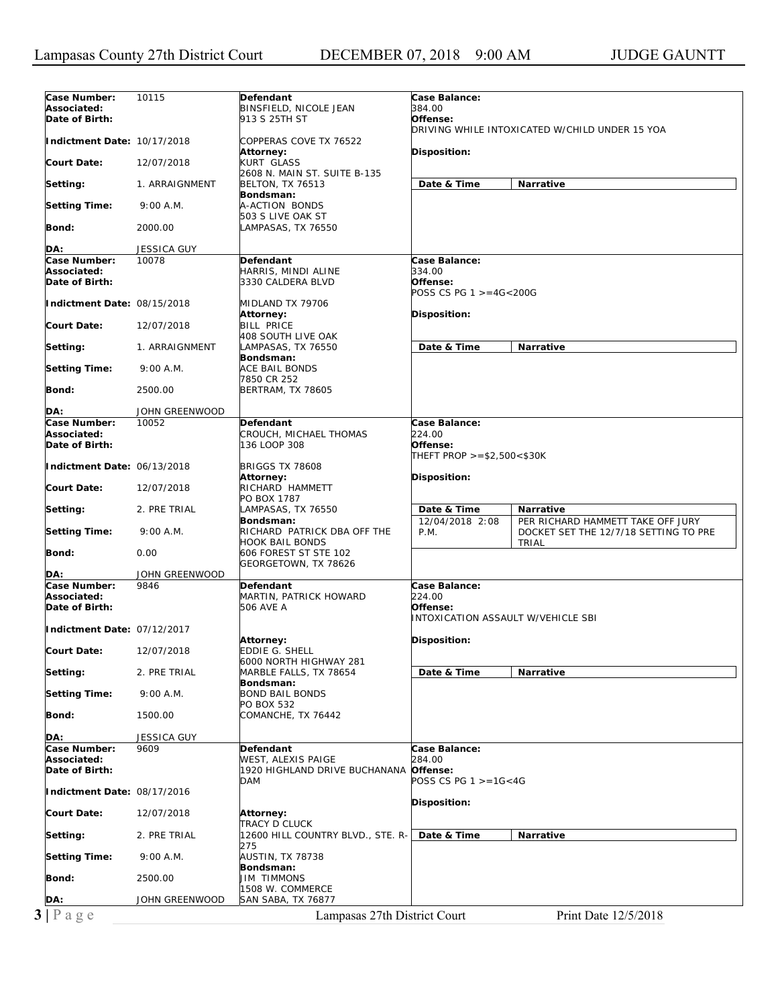| 10115<br>Defendant<br><b>Case Balance:</b><br>384.00<br>BINSFIELD, NICOLE JEAN<br>Date of Birth:<br>913 S 25TH ST<br>Offense:<br>DRIVING WHILE INTOXICATED W/CHILD UNDER 15 YOA<br>Indictment Date: 10/17/2018<br>COPPERAS COVE TX 76522<br>Disposition:<br><b>Attorney:</b><br><b>Court Date:</b><br>12/07/2018<br><b>KURT GLASS</b><br>2608 N. MAIN ST. SUITE B-135<br>Date & Time<br>Narrative<br>Setting:<br><b>BELTON, TX 76513</b><br>1. ARRAIGNMENT<br>Bondsman:<br><b>Setting Time:</b><br>9:00 A.M.<br>A-ACTION BONDS<br>503 S LIVE OAK ST<br>Bond:<br>2000.00<br>LAMPASAS, TX 76550<br>DA:<br>JESSICA GUY<br>Case Number:<br>10078<br><b>Defendant</b><br>Case Balance:<br>334.00<br>Associated:<br>HARRIS, MINDI ALINE<br>Date of Birth:<br>3330 CALDERA BLVD<br>Offense:<br>POSS CS PG 1 >=4G<200G<br>Indictment Date: 08/15/2018<br>MIDLAND TX 79706<br><b>Attorney:</b><br>Disposition:<br><b>BILL PRICE</b><br><b>Court Date:</b><br>12/07/2018<br>408 SOUTH LIVE OAK<br>Date & Time<br>Narrative<br>Setting:<br>1. ARRAIGNMENT<br>LAMPASAS, TX 76550<br>Bondsman:<br><b>Setting Time:</b><br>ACE BAIL BONDS<br>9:00 A.M.<br>7850 CR 252<br>Bond:<br>2500.00<br><b>BERTRAM, TX 78605</b><br>DA:<br>JOHN GREENWOOD<br>Case Number:<br>10052<br>Case Balance:<br>Defendant<br>224.00<br>Associated:<br>CROUCH, MICHAEL THOMAS<br>Date of Birth:<br>136 LOOP 308<br>Offense:<br>THEFT PROP >=\$2,500<\$30K<br>Indictment Date: 06/13/2018<br><b>BRIGGS TX 78608</b><br>Disposition:<br>Attorney:<br>RICHARD HAMMETT<br><b>Court Date:</b><br>12/07/2018<br>PO BOX 1787<br>LAMPASAS, TX 76550<br>Setting:<br>2. PRE TRIAL<br>Date & Time<br><b>Narrative</b><br>12/04/2018 2:08<br>Bondsman:<br>PER RICHARD HAMMETT TAKE OFF JURY<br><b>Setting Time:</b><br>9:00 A.M.<br>RICHARD PATRICK DBA OFF THE<br>P.M.<br>DOCKET SET THE 12/7/18 SETTING TO PRE<br><b>HOOK BAIL BONDS</b><br>TRIAL<br>Bond:<br>0.00<br>606 FOREST ST STE 102<br>GEORGETOWN, TX 78626<br>JOHN GREENWOOD<br>DA:<br>Case Number:<br>Case Balance:<br>9846<br>Defendant<br>MARTIN, PATRICK HOWARD<br>224.00<br>Associated:<br>Offense:<br><b>506 AVE A</b><br>INTOXICATION ASSAULT W/VEHICLE SBI<br>Indictment Date: 07/12/2017<br>Disposition:<br><b>Attorney:</b><br><b>EDDIE G. SHELL</b><br>12/07/2018<br>6000 NORTH HIGHWAY 281<br>Date & Time<br>2. PRE TRIAL<br>MARBLE FALLS, TX 78654<br>Narrative<br>Bondsman:<br><b>BOND BAIL BONDS</b><br>9:00 A.M.<br>PO BOX 532<br>1500.00<br>COMANCHE, TX 76442<br>JESSICA GUY<br>Case Number:<br>Case Balance:<br>9609<br>Defendant<br>284.00<br>WEST, ALEXIS PAIGE<br>1920 HIGHLAND DRIVE BUCHANANA Offense:<br>POSS CS PG 1 >=1G<4G<br>DAM<br>Indictment Date: 08/17/2016<br><b>Disposition:</b><br>12/07/2018<br>Attorney:<br><b>TRACY D CLUCK</b><br>Narrative<br>Setting:<br>2. PRE TRIAL<br>12600 HILL COUNTRY BLVD., STE. R-<br>Date & Time<br>275<br><b>Setting Time:</b><br>9:00 A.M.<br><b>AUSTIN, TX 78738</b><br>Bondsman:<br>Bond:<br>2500.00<br><b>JIM TIMMONS</b><br>1508 W. COMMERCE<br>JOHN GREENWOOD<br>SAN SABA, TX 76877<br>DA:<br>$3 P \text{ age}$<br>Lampasas 27th District Court<br>Print Date 12/5/2018 |                      |  |  |
|---------------------------------------------------------------------------------------------------------------------------------------------------------------------------------------------------------------------------------------------------------------------------------------------------------------------------------------------------------------------------------------------------------------------------------------------------------------------------------------------------------------------------------------------------------------------------------------------------------------------------------------------------------------------------------------------------------------------------------------------------------------------------------------------------------------------------------------------------------------------------------------------------------------------------------------------------------------------------------------------------------------------------------------------------------------------------------------------------------------------------------------------------------------------------------------------------------------------------------------------------------------------------------------------------------------------------------------------------------------------------------------------------------------------------------------------------------------------------------------------------------------------------------------------------------------------------------------------------------------------------------------------------------------------------------------------------------------------------------------------------------------------------------------------------------------------------------------------------------------------------------------------------------------------------------------------------------------------------------------------------------------------------------------------------------------------------------------------------------------------------------------------------------------------------------------------------------------------------------------------------------------------------------------------------------------------------------------------------------------------------------------------------------------------------------------------------------------------------------------------------------------------------------------------------------------------------------------------------------------------------------------------------------------------------------------------------------------------------------------------------------------------------------------------------------------------------------------------------------------------------------------------------------------------------------------------------------------------------------------------------------------------------------------------------------------------------------------------------------------------------------------------------------------|----------------------|--|--|
|                                                                                                                                                                                                                                                                                                                                                                                                                                                                                                                                                                                                                                                                                                                                                                                                                                                                                                                                                                                                                                                                                                                                                                                                                                                                                                                                                                                                                                                                                                                                                                                                                                                                                                                                                                                                                                                                                                                                                                                                                                                                                                                                                                                                                                                                                                                                                                                                                                                                                                                                                                                                                                                                                                                                                                                                                                                                                                                                                                                                                                                                                                                                                               | Case Number:         |  |  |
|                                                                                                                                                                                                                                                                                                                                                                                                                                                                                                                                                                                                                                                                                                                                                                                                                                                                                                                                                                                                                                                                                                                                                                                                                                                                                                                                                                                                                                                                                                                                                                                                                                                                                                                                                                                                                                                                                                                                                                                                                                                                                                                                                                                                                                                                                                                                                                                                                                                                                                                                                                                                                                                                                                                                                                                                                                                                                                                                                                                                                                                                                                                                                               | Associated:          |  |  |
|                                                                                                                                                                                                                                                                                                                                                                                                                                                                                                                                                                                                                                                                                                                                                                                                                                                                                                                                                                                                                                                                                                                                                                                                                                                                                                                                                                                                                                                                                                                                                                                                                                                                                                                                                                                                                                                                                                                                                                                                                                                                                                                                                                                                                                                                                                                                                                                                                                                                                                                                                                                                                                                                                                                                                                                                                                                                                                                                                                                                                                                                                                                                                               |                      |  |  |
|                                                                                                                                                                                                                                                                                                                                                                                                                                                                                                                                                                                                                                                                                                                                                                                                                                                                                                                                                                                                                                                                                                                                                                                                                                                                                                                                                                                                                                                                                                                                                                                                                                                                                                                                                                                                                                                                                                                                                                                                                                                                                                                                                                                                                                                                                                                                                                                                                                                                                                                                                                                                                                                                                                                                                                                                                                                                                                                                                                                                                                                                                                                                                               |                      |  |  |
|                                                                                                                                                                                                                                                                                                                                                                                                                                                                                                                                                                                                                                                                                                                                                                                                                                                                                                                                                                                                                                                                                                                                                                                                                                                                                                                                                                                                                                                                                                                                                                                                                                                                                                                                                                                                                                                                                                                                                                                                                                                                                                                                                                                                                                                                                                                                                                                                                                                                                                                                                                                                                                                                                                                                                                                                                                                                                                                                                                                                                                                                                                                                                               |                      |  |  |
|                                                                                                                                                                                                                                                                                                                                                                                                                                                                                                                                                                                                                                                                                                                                                                                                                                                                                                                                                                                                                                                                                                                                                                                                                                                                                                                                                                                                                                                                                                                                                                                                                                                                                                                                                                                                                                                                                                                                                                                                                                                                                                                                                                                                                                                                                                                                                                                                                                                                                                                                                                                                                                                                                                                                                                                                                                                                                                                                                                                                                                                                                                                                                               |                      |  |  |
|                                                                                                                                                                                                                                                                                                                                                                                                                                                                                                                                                                                                                                                                                                                                                                                                                                                                                                                                                                                                                                                                                                                                                                                                                                                                                                                                                                                                                                                                                                                                                                                                                                                                                                                                                                                                                                                                                                                                                                                                                                                                                                                                                                                                                                                                                                                                                                                                                                                                                                                                                                                                                                                                                                                                                                                                                                                                                                                                                                                                                                                                                                                                                               |                      |  |  |
|                                                                                                                                                                                                                                                                                                                                                                                                                                                                                                                                                                                                                                                                                                                                                                                                                                                                                                                                                                                                                                                                                                                                                                                                                                                                                                                                                                                                                                                                                                                                                                                                                                                                                                                                                                                                                                                                                                                                                                                                                                                                                                                                                                                                                                                                                                                                                                                                                                                                                                                                                                                                                                                                                                                                                                                                                                                                                                                                                                                                                                                                                                                                                               |                      |  |  |
|                                                                                                                                                                                                                                                                                                                                                                                                                                                                                                                                                                                                                                                                                                                                                                                                                                                                                                                                                                                                                                                                                                                                                                                                                                                                                                                                                                                                                                                                                                                                                                                                                                                                                                                                                                                                                                                                                                                                                                                                                                                                                                                                                                                                                                                                                                                                                                                                                                                                                                                                                                                                                                                                                                                                                                                                                                                                                                                                                                                                                                                                                                                                                               |                      |  |  |
|                                                                                                                                                                                                                                                                                                                                                                                                                                                                                                                                                                                                                                                                                                                                                                                                                                                                                                                                                                                                                                                                                                                                                                                                                                                                                                                                                                                                                                                                                                                                                                                                                                                                                                                                                                                                                                                                                                                                                                                                                                                                                                                                                                                                                                                                                                                                                                                                                                                                                                                                                                                                                                                                                                                                                                                                                                                                                                                                                                                                                                                                                                                                                               |                      |  |  |
|                                                                                                                                                                                                                                                                                                                                                                                                                                                                                                                                                                                                                                                                                                                                                                                                                                                                                                                                                                                                                                                                                                                                                                                                                                                                                                                                                                                                                                                                                                                                                                                                                                                                                                                                                                                                                                                                                                                                                                                                                                                                                                                                                                                                                                                                                                                                                                                                                                                                                                                                                                                                                                                                                                                                                                                                                                                                                                                                                                                                                                                                                                                                                               |                      |  |  |
|                                                                                                                                                                                                                                                                                                                                                                                                                                                                                                                                                                                                                                                                                                                                                                                                                                                                                                                                                                                                                                                                                                                                                                                                                                                                                                                                                                                                                                                                                                                                                                                                                                                                                                                                                                                                                                                                                                                                                                                                                                                                                                                                                                                                                                                                                                                                                                                                                                                                                                                                                                                                                                                                                                                                                                                                                                                                                                                                                                                                                                                                                                                                                               |                      |  |  |
|                                                                                                                                                                                                                                                                                                                                                                                                                                                                                                                                                                                                                                                                                                                                                                                                                                                                                                                                                                                                                                                                                                                                                                                                                                                                                                                                                                                                                                                                                                                                                                                                                                                                                                                                                                                                                                                                                                                                                                                                                                                                                                                                                                                                                                                                                                                                                                                                                                                                                                                                                                                                                                                                                                                                                                                                                                                                                                                                                                                                                                                                                                                                                               |                      |  |  |
|                                                                                                                                                                                                                                                                                                                                                                                                                                                                                                                                                                                                                                                                                                                                                                                                                                                                                                                                                                                                                                                                                                                                                                                                                                                                                                                                                                                                                                                                                                                                                                                                                                                                                                                                                                                                                                                                                                                                                                                                                                                                                                                                                                                                                                                                                                                                                                                                                                                                                                                                                                                                                                                                                                                                                                                                                                                                                                                                                                                                                                                                                                                                                               |                      |  |  |
|                                                                                                                                                                                                                                                                                                                                                                                                                                                                                                                                                                                                                                                                                                                                                                                                                                                                                                                                                                                                                                                                                                                                                                                                                                                                                                                                                                                                                                                                                                                                                                                                                                                                                                                                                                                                                                                                                                                                                                                                                                                                                                                                                                                                                                                                                                                                                                                                                                                                                                                                                                                                                                                                                                                                                                                                                                                                                                                                                                                                                                                                                                                                                               |                      |  |  |
|                                                                                                                                                                                                                                                                                                                                                                                                                                                                                                                                                                                                                                                                                                                                                                                                                                                                                                                                                                                                                                                                                                                                                                                                                                                                                                                                                                                                                                                                                                                                                                                                                                                                                                                                                                                                                                                                                                                                                                                                                                                                                                                                                                                                                                                                                                                                                                                                                                                                                                                                                                                                                                                                                                                                                                                                                                                                                                                                                                                                                                                                                                                                                               |                      |  |  |
|                                                                                                                                                                                                                                                                                                                                                                                                                                                                                                                                                                                                                                                                                                                                                                                                                                                                                                                                                                                                                                                                                                                                                                                                                                                                                                                                                                                                                                                                                                                                                                                                                                                                                                                                                                                                                                                                                                                                                                                                                                                                                                                                                                                                                                                                                                                                                                                                                                                                                                                                                                                                                                                                                                                                                                                                                                                                                                                                                                                                                                                                                                                                                               |                      |  |  |
|                                                                                                                                                                                                                                                                                                                                                                                                                                                                                                                                                                                                                                                                                                                                                                                                                                                                                                                                                                                                                                                                                                                                                                                                                                                                                                                                                                                                                                                                                                                                                                                                                                                                                                                                                                                                                                                                                                                                                                                                                                                                                                                                                                                                                                                                                                                                                                                                                                                                                                                                                                                                                                                                                                                                                                                                                                                                                                                                                                                                                                                                                                                                                               |                      |  |  |
|                                                                                                                                                                                                                                                                                                                                                                                                                                                                                                                                                                                                                                                                                                                                                                                                                                                                                                                                                                                                                                                                                                                                                                                                                                                                                                                                                                                                                                                                                                                                                                                                                                                                                                                                                                                                                                                                                                                                                                                                                                                                                                                                                                                                                                                                                                                                                                                                                                                                                                                                                                                                                                                                                                                                                                                                                                                                                                                                                                                                                                                                                                                                                               |                      |  |  |
|                                                                                                                                                                                                                                                                                                                                                                                                                                                                                                                                                                                                                                                                                                                                                                                                                                                                                                                                                                                                                                                                                                                                                                                                                                                                                                                                                                                                                                                                                                                                                                                                                                                                                                                                                                                                                                                                                                                                                                                                                                                                                                                                                                                                                                                                                                                                                                                                                                                                                                                                                                                                                                                                                                                                                                                                                                                                                                                                                                                                                                                                                                                                                               |                      |  |  |
|                                                                                                                                                                                                                                                                                                                                                                                                                                                                                                                                                                                                                                                                                                                                                                                                                                                                                                                                                                                                                                                                                                                                                                                                                                                                                                                                                                                                                                                                                                                                                                                                                                                                                                                                                                                                                                                                                                                                                                                                                                                                                                                                                                                                                                                                                                                                                                                                                                                                                                                                                                                                                                                                                                                                                                                                                                                                                                                                                                                                                                                                                                                                                               |                      |  |  |
|                                                                                                                                                                                                                                                                                                                                                                                                                                                                                                                                                                                                                                                                                                                                                                                                                                                                                                                                                                                                                                                                                                                                                                                                                                                                                                                                                                                                                                                                                                                                                                                                                                                                                                                                                                                                                                                                                                                                                                                                                                                                                                                                                                                                                                                                                                                                                                                                                                                                                                                                                                                                                                                                                                                                                                                                                                                                                                                                                                                                                                                                                                                                                               |                      |  |  |
|                                                                                                                                                                                                                                                                                                                                                                                                                                                                                                                                                                                                                                                                                                                                                                                                                                                                                                                                                                                                                                                                                                                                                                                                                                                                                                                                                                                                                                                                                                                                                                                                                                                                                                                                                                                                                                                                                                                                                                                                                                                                                                                                                                                                                                                                                                                                                                                                                                                                                                                                                                                                                                                                                                                                                                                                                                                                                                                                                                                                                                                                                                                                                               |                      |  |  |
|                                                                                                                                                                                                                                                                                                                                                                                                                                                                                                                                                                                                                                                                                                                                                                                                                                                                                                                                                                                                                                                                                                                                                                                                                                                                                                                                                                                                                                                                                                                                                                                                                                                                                                                                                                                                                                                                                                                                                                                                                                                                                                                                                                                                                                                                                                                                                                                                                                                                                                                                                                                                                                                                                                                                                                                                                                                                                                                                                                                                                                                                                                                                                               |                      |  |  |
|                                                                                                                                                                                                                                                                                                                                                                                                                                                                                                                                                                                                                                                                                                                                                                                                                                                                                                                                                                                                                                                                                                                                                                                                                                                                                                                                                                                                                                                                                                                                                                                                                                                                                                                                                                                                                                                                                                                                                                                                                                                                                                                                                                                                                                                                                                                                                                                                                                                                                                                                                                                                                                                                                                                                                                                                                                                                                                                                                                                                                                                                                                                                                               |                      |  |  |
|                                                                                                                                                                                                                                                                                                                                                                                                                                                                                                                                                                                                                                                                                                                                                                                                                                                                                                                                                                                                                                                                                                                                                                                                                                                                                                                                                                                                                                                                                                                                                                                                                                                                                                                                                                                                                                                                                                                                                                                                                                                                                                                                                                                                                                                                                                                                                                                                                                                                                                                                                                                                                                                                                                                                                                                                                                                                                                                                                                                                                                                                                                                                                               |                      |  |  |
|                                                                                                                                                                                                                                                                                                                                                                                                                                                                                                                                                                                                                                                                                                                                                                                                                                                                                                                                                                                                                                                                                                                                                                                                                                                                                                                                                                                                                                                                                                                                                                                                                                                                                                                                                                                                                                                                                                                                                                                                                                                                                                                                                                                                                                                                                                                                                                                                                                                                                                                                                                                                                                                                                                                                                                                                                                                                                                                                                                                                                                                                                                                                                               |                      |  |  |
|                                                                                                                                                                                                                                                                                                                                                                                                                                                                                                                                                                                                                                                                                                                                                                                                                                                                                                                                                                                                                                                                                                                                                                                                                                                                                                                                                                                                                                                                                                                                                                                                                                                                                                                                                                                                                                                                                                                                                                                                                                                                                                                                                                                                                                                                                                                                                                                                                                                                                                                                                                                                                                                                                                                                                                                                                                                                                                                                                                                                                                                                                                                                                               |                      |  |  |
|                                                                                                                                                                                                                                                                                                                                                                                                                                                                                                                                                                                                                                                                                                                                                                                                                                                                                                                                                                                                                                                                                                                                                                                                                                                                                                                                                                                                                                                                                                                                                                                                                                                                                                                                                                                                                                                                                                                                                                                                                                                                                                                                                                                                                                                                                                                                                                                                                                                                                                                                                                                                                                                                                                                                                                                                                                                                                                                                                                                                                                                                                                                                                               |                      |  |  |
|                                                                                                                                                                                                                                                                                                                                                                                                                                                                                                                                                                                                                                                                                                                                                                                                                                                                                                                                                                                                                                                                                                                                                                                                                                                                                                                                                                                                                                                                                                                                                                                                                                                                                                                                                                                                                                                                                                                                                                                                                                                                                                                                                                                                                                                                                                                                                                                                                                                                                                                                                                                                                                                                                                                                                                                                                                                                                                                                                                                                                                                                                                                                                               |                      |  |  |
|                                                                                                                                                                                                                                                                                                                                                                                                                                                                                                                                                                                                                                                                                                                                                                                                                                                                                                                                                                                                                                                                                                                                                                                                                                                                                                                                                                                                                                                                                                                                                                                                                                                                                                                                                                                                                                                                                                                                                                                                                                                                                                                                                                                                                                                                                                                                                                                                                                                                                                                                                                                                                                                                                                                                                                                                                                                                                                                                                                                                                                                                                                                                                               |                      |  |  |
|                                                                                                                                                                                                                                                                                                                                                                                                                                                                                                                                                                                                                                                                                                                                                                                                                                                                                                                                                                                                                                                                                                                                                                                                                                                                                                                                                                                                                                                                                                                                                                                                                                                                                                                                                                                                                                                                                                                                                                                                                                                                                                                                                                                                                                                                                                                                                                                                                                                                                                                                                                                                                                                                                                                                                                                                                                                                                                                                                                                                                                                                                                                                                               |                      |  |  |
|                                                                                                                                                                                                                                                                                                                                                                                                                                                                                                                                                                                                                                                                                                                                                                                                                                                                                                                                                                                                                                                                                                                                                                                                                                                                                                                                                                                                                                                                                                                                                                                                                                                                                                                                                                                                                                                                                                                                                                                                                                                                                                                                                                                                                                                                                                                                                                                                                                                                                                                                                                                                                                                                                                                                                                                                                                                                                                                                                                                                                                                                                                                                                               |                      |  |  |
|                                                                                                                                                                                                                                                                                                                                                                                                                                                                                                                                                                                                                                                                                                                                                                                                                                                                                                                                                                                                                                                                                                                                                                                                                                                                                                                                                                                                                                                                                                                                                                                                                                                                                                                                                                                                                                                                                                                                                                                                                                                                                                                                                                                                                                                                                                                                                                                                                                                                                                                                                                                                                                                                                                                                                                                                                                                                                                                                                                                                                                                                                                                                                               |                      |  |  |
|                                                                                                                                                                                                                                                                                                                                                                                                                                                                                                                                                                                                                                                                                                                                                                                                                                                                                                                                                                                                                                                                                                                                                                                                                                                                                                                                                                                                                                                                                                                                                                                                                                                                                                                                                                                                                                                                                                                                                                                                                                                                                                                                                                                                                                                                                                                                                                                                                                                                                                                                                                                                                                                                                                                                                                                                                                                                                                                                                                                                                                                                                                                                                               |                      |  |  |
|                                                                                                                                                                                                                                                                                                                                                                                                                                                                                                                                                                                                                                                                                                                                                                                                                                                                                                                                                                                                                                                                                                                                                                                                                                                                                                                                                                                                                                                                                                                                                                                                                                                                                                                                                                                                                                                                                                                                                                                                                                                                                                                                                                                                                                                                                                                                                                                                                                                                                                                                                                                                                                                                                                                                                                                                                                                                                                                                                                                                                                                                                                                                                               |                      |  |  |
|                                                                                                                                                                                                                                                                                                                                                                                                                                                                                                                                                                                                                                                                                                                                                                                                                                                                                                                                                                                                                                                                                                                                                                                                                                                                                                                                                                                                                                                                                                                                                                                                                                                                                                                                                                                                                                                                                                                                                                                                                                                                                                                                                                                                                                                                                                                                                                                                                                                                                                                                                                                                                                                                                                                                                                                                                                                                                                                                                                                                                                                                                                                                                               |                      |  |  |
|                                                                                                                                                                                                                                                                                                                                                                                                                                                                                                                                                                                                                                                                                                                                                                                                                                                                                                                                                                                                                                                                                                                                                                                                                                                                                                                                                                                                                                                                                                                                                                                                                                                                                                                                                                                                                                                                                                                                                                                                                                                                                                                                                                                                                                                                                                                                                                                                                                                                                                                                                                                                                                                                                                                                                                                                                                                                                                                                                                                                                                                                                                                                                               |                      |  |  |
|                                                                                                                                                                                                                                                                                                                                                                                                                                                                                                                                                                                                                                                                                                                                                                                                                                                                                                                                                                                                                                                                                                                                                                                                                                                                                                                                                                                                                                                                                                                                                                                                                                                                                                                                                                                                                                                                                                                                                                                                                                                                                                                                                                                                                                                                                                                                                                                                                                                                                                                                                                                                                                                                                                                                                                                                                                                                                                                                                                                                                                                                                                                                                               |                      |  |  |
|                                                                                                                                                                                                                                                                                                                                                                                                                                                                                                                                                                                                                                                                                                                                                                                                                                                                                                                                                                                                                                                                                                                                                                                                                                                                                                                                                                                                                                                                                                                                                                                                                                                                                                                                                                                                                                                                                                                                                                                                                                                                                                                                                                                                                                                                                                                                                                                                                                                                                                                                                                                                                                                                                                                                                                                                                                                                                                                                                                                                                                                                                                                                                               |                      |  |  |
|                                                                                                                                                                                                                                                                                                                                                                                                                                                                                                                                                                                                                                                                                                                                                                                                                                                                                                                                                                                                                                                                                                                                                                                                                                                                                                                                                                                                                                                                                                                                                                                                                                                                                                                                                                                                                                                                                                                                                                                                                                                                                                                                                                                                                                                                                                                                                                                                                                                                                                                                                                                                                                                                                                                                                                                                                                                                                                                                                                                                                                                                                                                                                               |                      |  |  |
|                                                                                                                                                                                                                                                                                                                                                                                                                                                                                                                                                                                                                                                                                                                                                                                                                                                                                                                                                                                                                                                                                                                                                                                                                                                                                                                                                                                                                                                                                                                                                                                                                                                                                                                                                                                                                                                                                                                                                                                                                                                                                                                                                                                                                                                                                                                                                                                                                                                                                                                                                                                                                                                                                                                                                                                                                                                                                                                                                                                                                                                                                                                                                               |                      |  |  |
|                                                                                                                                                                                                                                                                                                                                                                                                                                                                                                                                                                                                                                                                                                                                                                                                                                                                                                                                                                                                                                                                                                                                                                                                                                                                                                                                                                                                                                                                                                                                                                                                                                                                                                                                                                                                                                                                                                                                                                                                                                                                                                                                                                                                                                                                                                                                                                                                                                                                                                                                                                                                                                                                                                                                                                                                                                                                                                                                                                                                                                                                                                                                                               |                      |  |  |
|                                                                                                                                                                                                                                                                                                                                                                                                                                                                                                                                                                                                                                                                                                                                                                                                                                                                                                                                                                                                                                                                                                                                                                                                                                                                                                                                                                                                                                                                                                                                                                                                                                                                                                                                                                                                                                                                                                                                                                                                                                                                                                                                                                                                                                                                                                                                                                                                                                                                                                                                                                                                                                                                                                                                                                                                                                                                                                                                                                                                                                                                                                                                                               |                      |  |  |
|                                                                                                                                                                                                                                                                                                                                                                                                                                                                                                                                                                                                                                                                                                                                                                                                                                                                                                                                                                                                                                                                                                                                                                                                                                                                                                                                                                                                                                                                                                                                                                                                                                                                                                                                                                                                                                                                                                                                                                                                                                                                                                                                                                                                                                                                                                                                                                                                                                                                                                                                                                                                                                                                                                                                                                                                                                                                                                                                                                                                                                                                                                                                                               |                      |  |  |
|                                                                                                                                                                                                                                                                                                                                                                                                                                                                                                                                                                                                                                                                                                                                                                                                                                                                                                                                                                                                                                                                                                                                                                                                                                                                                                                                                                                                                                                                                                                                                                                                                                                                                                                                                                                                                                                                                                                                                                                                                                                                                                                                                                                                                                                                                                                                                                                                                                                                                                                                                                                                                                                                                                                                                                                                                                                                                                                                                                                                                                                                                                                                                               |                      |  |  |
|                                                                                                                                                                                                                                                                                                                                                                                                                                                                                                                                                                                                                                                                                                                                                                                                                                                                                                                                                                                                                                                                                                                                                                                                                                                                                                                                                                                                                                                                                                                                                                                                                                                                                                                                                                                                                                                                                                                                                                                                                                                                                                                                                                                                                                                                                                                                                                                                                                                                                                                                                                                                                                                                                                                                                                                                                                                                                                                                                                                                                                                                                                                                                               |                      |  |  |
|                                                                                                                                                                                                                                                                                                                                                                                                                                                                                                                                                                                                                                                                                                                                                                                                                                                                                                                                                                                                                                                                                                                                                                                                                                                                                                                                                                                                                                                                                                                                                                                                                                                                                                                                                                                                                                                                                                                                                                                                                                                                                                                                                                                                                                                                                                                                                                                                                                                                                                                                                                                                                                                                                                                                                                                                                                                                                                                                                                                                                                                                                                                                                               |                      |  |  |
|                                                                                                                                                                                                                                                                                                                                                                                                                                                                                                                                                                                                                                                                                                                                                                                                                                                                                                                                                                                                                                                                                                                                                                                                                                                                                                                                                                                                                                                                                                                                                                                                                                                                                                                                                                                                                                                                                                                                                                                                                                                                                                                                                                                                                                                                                                                                                                                                                                                                                                                                                                                                                                                                                                                                                                                                                                                                                                                                                                                                                                                                                                                                                               | Date of Birth:       |  |  |
|                                                                                                                                                                                                                                                                                                                                                                                                                                                                                                                                                                                                                                                                                                                                                                                                                                                                                                                                                                                                                                                                                                                                                                                                                                                                                                                                                                                                                                                                                                                                                                                                                                                                                                                                                                                                                                                                                                                                                                                                                                                                                                                                                                                                                                                                                                                                                                                                                                                                                                                                                                                                                                                                                                                                                                                                                                                                                                                                                                                                                                                                                                                                                               |                      |  |  |
|                                                                                                                                                                                                                                                                                                                                                                                                                                                                                                                                                                                                                                                                                                                                                                                                                                                                                                                                                                                                                                                                                                                                                                                                                                                                                                                                                                                                                                                                                                                                                                                                                                                                                                                                                                                                                                                                                                                                                                                                                                                                                                                                                                                                                                                                                                                                                                                                                                                                                                                                                                                                                                                                                                                                                                                                                                                                                                                                                                                                                                                                                                                                                               |                      |  |  |
|                                                                                                                                                                                                                                                                                                                                                                                                                                                                                                                                                                                                                                                                                                                                                                                                                                                                                                                                                                                                                                                                                                                                                                                                                                                                                                                                                                                                                                                                                                                                                                                                                                                                                                                                                                                                                                                                                                                                                                                                                                                                                                                                                                                                                                                                                                                                                                                                                                                                                                                                                                                                                                                                                                                                                                                                                                                                                                                                                                                                                                                                                                                                                               |                      |  |  |
|                                                                                                                                                                                                                                                                                                                                                                                                                                                                                                                                                                                                                                                                                                                                                                                                                                                                                                                                                                                                                                                                                                                                                                                                                                                                                                                                                                                                                                                                                                                                                                                                                                                                                                                                                                                                                                                                                                                                                                                                                                                                                                                                                                                                                                                                                                                                                                                                                                                                                                                                                                                                                                                                                                                                                                                                                                                                                                                                                                                                                                                                                                                                                               | <b>Court Date:</b>   |  |  |
|                                                                                                                                                                                                                                                                                                                                                                                                                                                                                                                                                                                                                                                                                                                                                                                                                                                                                                                                                                                                                                                                                                                                                                                                                                                                                                                                                                                                                                                                                                                                                                                                                                                                                                                                                                                                                                                                                                                                                                                                                                                                                                                                                                                                                                                                                                                                                                                                                                                                                                                                                                                                                                                                                                                                                                                                                                                                                                                                                                                                                                                                                                                                                               |                      |  |  |
|                                                                                                                                                                                                                                                                                                                                                                                                                                                                                                                                                                                                                                                                                                                                                                                                                                                                                                                                                                                                                                                                                                                                                                                                                                                                                                                                                                                                                                                                                                                                                                                                                                                                                                                                                                                                                                                                                                                                                                                                                                                                                                                                                                                                                                                                                                                                                                                                                                                                                                                                                                                                                                                                                                                                                                                                                                                                                                                                                                                                                                                                                                                                                               | Setting:             |  |  |
|                                                                                                                                                                                                                                                                                                                                                                                                                                                                                                                                                                                                                                                                                                                                                                                                                                                                                                                                                                                                                                                                                                                                                                                                                                                                                                                                                                                                                                                                                                                                                                                                                                                                                                                                                                                                                                                                                                                                                                                                                                                                                                                                                                                                                                                                                                                                                                                                                                                                                                                                                                                                                                                                                                                                                                                                                                                                                                                                                                                                                                                                                                                                                               |                      |  |  |
|                                                                                                                                                                                                                                                                                                                                                                                                                                                                                                                                                                                                                                                                                                                                                                                                                                                                                                                                                                                                                                                                                                                                                                                                                                                                                                                                                                                                                                                                                                                                                                                                                                                                                                                                                                                                                                                                                                                                                                                                                                                                                                                                                                                                                                                                                                                                                                                                                                                                                                                                                                                                                                                                                                                                                                                                                                                                                                                                                                                                                                                                                                                                                               | <b>Setting Time:</b> |  |  |
|                                                                                                                                                                                                                                                                                                                                                                                                                                                                                                                                                                                                                                                                                                                                                                                                                                                                                                                                                                                                                                                                                                                                                                                                                                                                                                                                                                                                                                                                                                                                                                                                                                                                                                                                                                                                                                                                                                                                                                                                                                                                                                                                                                                                                                                                                                                                                                                                                                                                                                                                                                                                                                                                                                                                                                                                                                                                                                                                                                                                                                                                                                                                                               |                      |  |  |
|                                                                                                                                                                                                                                                                                                                                                                                                                                                                                                                                                                                                                                                                                                                                                                                                                                                                                                                                                                                                                                                                                                                                                                                                                                                                                                                                                                                                                                                                                                                                                                                                                                                                                                                                                                                                                                                                                                                                                                                                                                                                                                                                                                                                                                                                                                                                                                                                                                                                                                                                                                                                                                                                                                                                                                                                                                                                                                                                                                                                                                                                                                                                                               | Bond:                |  |  |
|                                                                                                                                                                                                                                                                                                                                                                                                                                                                                                                                                                                                                                                                                                                                                                                                                                                                                                                                                                                                                                                                                                                                                                                                                                                                                                                                                                                                                                                                                                                                                                                                                                                                                                                                                                                                                                                                                                                                                                                                                                                                                                                                                                                                                                                                                                                                                                                                                                                                                                                                                                                                                                                                                                                                                                                                                                                                                                                                                                                                                                                                                                                                                               |                      |  |  |
|                                                                                                                                                                                                                                                                                                                                                                                                                                                                                                                                                                                                                                                                                                                                                                                                                                                                                                                                                                                                                                                                                                                                                                                                                                                                                                                                                                                                                                                                                                                                                                                                                                                                                                                                                                                                                                                                                                                                                                                                                                                                                                                                                                                                                                                                                                                                                                                                                                                                                                                                                                                                                                                                                                                                                                                                                                                                                                                                                                                                                                                                                                                                                               | DA:                  |  |  |
|                                                                                                                                                                                                                                                                                                                                                                                                                                                                                                                                                                                                                                                                                                                                                                                                                                                                                                                                                                                                                                                                                                                                                                                                                                                                                                                                                                                                                                                                                                                                                                                                                                                                                                                                                                                                                                                                                                                                                                                                                                                                                                                                                                                                                                                                                                                                                                                                                                                                                                                                                                                                                                                                                                                                                                                                                                                                                                                                                                                                                                                                                                                                                               |                      |  |  |
|                                                                                                                                                                                                                                                                                                                                                                                                                                                                                                                                                                                                                                                                                                                                                                                                                                                                                                                                                                                                                                                                                                                                                                                                                                                                                                                                                                                                                                                                                                                                                                                                                                                                                                                                                                                                                                                                                                                                                                                                                                                                                                                                                                                                                                                                                                                                                                                                                                                                                                                                                                                                                                                                                                                                                                                                                                                                                                                                                                                                                                                                                                                                                               | Associated:          |  |  |
|                                                                                                                                                                                                                                                                                                                                                                                                                                                                                                                                                                                                                                                                                                                                                                                                                                                                                                                                                                                                                                                                                                                                                                                                                                                                                                                                                                                                                                                                                                                                                                                                                                                                                                                                                                                                                                                                                                                                                                                                                                                                                                                                                                                                                                                                                                                                                                                                                                                                                                                                                                                                                                                                                                                                                                                                                                                                                                                                                                                                                                                                                                                                                               | Date of Birth:       |  |  |
|                                                                                                                                                                                                                                                                                                                                                                                                                                                                                                                                                                                                                                                                                                                                                                                                                                                                                                                                                                                                                                                                                                                                                                                                                                                                                                                                                                                                                                                                                                                                                                                                                                                                                                                                                                                                                                                                                                                                                                                                                                                                                                                                                                                                                                                                                                                                                                                                                                                                                                                                                                                                                                                                                                                                                                                                                                                                                                                                                                                                                                                                                                                                                               |                      |  |  |
|                                                                                                                                                                                                                                                                                                                                                                                                                                                                                                                                                                                                                                                                                                                                                                                                                                                                                                                                                                                                                                                                                                                                                                                                                                                                                                                                                                                                                                                                                                                                                                                                                                                                                                                                                                                                                                                                                                                                                                                                                                                                                                                                                                                                                                                                                                                                                                                                                                                                                                                                                                                                                                                                                                                                                                                                                                                                                                                                                                                                                                                                                                                                                               |                      |  |  |
|                                                                                                                                                                                                                                                                                                                                                                                                                                                                                                                                                                                                                                                                                                                                                                                                                                                                                                                                                                                                                                                                                                                                                                                                                                                                                                                                                                                                                                                                                                                                                                                                                                                                                                                                                                                                                                                                                                                                                                                                                                                                                                                                                                                                                                                                                                                                                                                                                                                                                                                                                                                                                                                                                                                                                                                                                                                                                                                                                                                                                                                                                                                                                               |                      |  |  |
|                                                                                                                                                                                                                                                                                                                                                                                                                                                                                                                                                                                                                                                                                                                                                                                                                                                                                                                                                                                                                                                                                                                                                                                                                                                                                                                                                                                                                                                                                                                                                                                                                                                                                                                                                                                                                                                                                                                                                                                                                                                                                                                                                                                                                                                                                                                                                                                                                                                                                                                                                                                                                                                                                                                                                                                                                                                                                                                                                                                                                                                                                                                                                               | <b>Court Date:</b>   |  |  |
|                                                                                                                                                                                                                                                                                                                                                                                                                                                                                                                                                                                                                                                                                                                                                                                                                                                                                                                                                                                                                                                                                                                                                                                                                                                                                                                                                                                                                                                                                                                                                                                                                                                                                                                                                                                                                                                                                                                                                                                                                                                                                                                                                                                                                                                                                                                                                                                                                                                                                                                                                                                                                                                                                                                                                                                                                                                                                                                                                                                                                                                                                                                                                               |                      |  |  |
|                                                                                                                                                                                                                                                                                                                                                                                                                                                                                                                                                                                                                                                                                                                                                                                                                                                                                                                                                                                                                                                                                                                                                                                                                                                                                                                                                                                                                                                                                                                                                                                                                                                                                                                                                                                                                                                                                                                                                                                                                                                                                                                                                                                                                                                                                                                                                                                                                                                                                                                                                                                                                                                                                                                                                                                                                                                                                                                                                                                                                                                                                                                                                               |                      |  |  |
|                                                                                                                                                                                                                                                                                                                                                                                                                                                                                                                                                                                                                                                                                                                                                                                                                                                                                                                                                                                                                                                                                                                                                                                                                                                                                                                                                                                                                                                                                                                                                                                                                                                                                                                                                                                                                                                                                                                                                                                                                                                                                                                                                                                                                                                                                                                                                                                                                                                                                                                                                                                                                                                                                                                                                                                                                                                                                                                                                                                                                                                                                                                                                               |                      |  |  |
|                                                                                                                                                                                                                                                                                                                                                                                                                                                                                                                                                                                                                                                                                                                                                                                                                                                                                                                                                                                                                                                                                                                                                                                                                                                                                                                                                                                                                                                                                                                                                                                                                                                                                                                                                                                                                                                                                                                                                                                                                                                                                                                                                                                                                                                                                                                                                                                                                                                                                                                                                                                                                                                                                                                                                                                                                                                                                                                                                                                                                                                                                                                                                               |                      |  |  |
|                                                                                                                                                                                                                                                                                                                                                                                                                                                                                                                                                                                                                                                                                                                                                                                                                                                                                                                                                                                                                                                                                                                                                                                                                                                                                                                                                                                                                                                                                                                                                                                                                                                                                                                                                                                                                                                                                                                                                                                                                                                                                                                                                                                                                                                                                                                                                                                                                                                                                                                                                                                                                                                                                                                                                                                                                                                                                                                                                                                                                                                                                                                                                               |                      |  |  |
|                                                                                                                                                                                                                                                                                                                                                                                                                                                                                                                                                                                                                                                                                                                                                                                                                                                                                                                                                                                                                                                                                                                                                                                                                                                                                                                                                                                                                                                                                                                                                                                                                                                                                                                                                                                                                                                                                                                                                                                                                                                                                                                                                                                                                                                                                                                                                                                                                                                                                                                                                                                                                                                                                                                                                                                                                                                                                                                                                                                                                                                                                                                                                               |                      |  |  |
|                                                                                                                                                                                                                                                                                                                                                                                                                                                                                                                                                                                                                                                                                                                                                                                                                                                                                                                                                                                                                                                                                                                                                                                                                                                                                                                                                                                                                                                                                                                                                                                                                                                                                                                                                                                                                                                                                                                                                                                                                                                                                                                                                                                                                                                                                                                                                                                                                                                                                                                                                                                                                                                                                                                                                                                                                                                                                                                                                                                                                                                                                                                                                               |                      |  |  |
|                                                                                                                                                                                                                                                                                                                                                                                                                                                                                                                                                                                                                                                                                                                                                                                                                                                                                                                                                                                                                                                                                                                                                                                                                                                                                                                                                                                                                                                                                                                                                                                                                                                                                                                                                                                                                                                                                                                                                                                                                                                                                                                                                                                                                                                                                                                                                                                                                                                                                                                                                                                                                                                                                                                                                                                                                                                                                                                                                                                                                                                                                                                                                               |                      |  |  |
|                                                                                                                                                                                                                                                                                                                                                                                                                                                                                                                                                                                                                                                                                                                                                                                                                                                                                                                                                                                                                                                                                                                                                                                                                                                                                                                                                                                                                                                                                                                                                                                                                                                                                                                                                                                                                                                                                                                                                                                                                                                                                                                                                                                                                                                                                                                                                                                                                                                                                                                                                                                                                                                                                                                                                                                                                                                                                                                                                                                                                                                                                                                                                               |                      |  |  |
|                                                                                                                                                                                                                                                                                                                                                                                                                                                                                                                                                                                                                                                                                                                                                                                                                                                                                                                                                                                                                                                                                                                                                                                                                                                                                                                                                                                                                                                                                                                                                                                                                                                                                                                                                                                                                                                                                                                                                                                                                                                                                                                                                                                                                                                                                                                                                                                                                                                                                                                                                                                                                                                                                                                                                                                                                                                                                                                                                                                                                                                                                                                                                               |                      |  |  |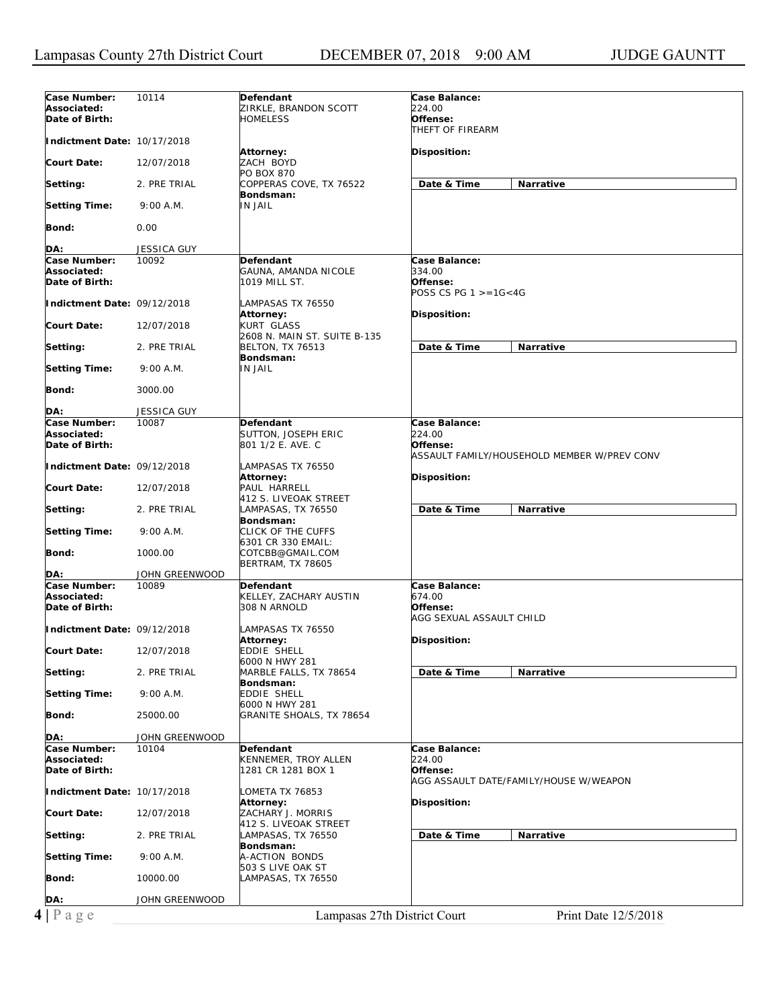| Case Number:<br>Associated:<br>Date of Birth: | 10114              | Defendant<br>ZIRKLE, BRANDON SCOTT<br><b>HOMELESS</b>   | Case Balance:<br>224.00<br>Offense:                                                |
|-----------------------------------------------|--------------------|---------------------------------------------------------|------------------------------------------------------------------------------------|
| Indictment Date: 10/17/2018                   |                    |                                                         | THEFT OF FIREARM                                                                   |
| <b>Court Date:</b>                            | 12/07/2018         | <b>Attorney:</b><br>ZACH BOYD                           | <b>Disposition:</b>                                                                |
| Setting:                                      | 2. PRE TRIAL       | <b>PO BOX 870</b><br>COPPERAS COVE, TX 76522            | Date & Time<br>Narrative                                                           |
| <b>Setting Time:</b>                          | 9:00 A.M.          | Bondsman:<br><b>IN JAIL</b>                             |                                                                                    |
| Bond:                                         | 0.00               |                                                         |                                                                                    |
| DA:                                           | JESSICA GUY        |                                                         |                                                                                    |
| Case Number:                                  | 10092              | Defendant                                               | Case Balance:                                                                      |
| Associated:<br>Date of Birth:                 |                    | GAUNA, AMANDA NICOLE<br>1019 MILL ST.                   | 334.00<br>Offense:<br>POSS CS PG $1 > = 16 < 4G$                                   |
| Indictment Date: 09/12/2018                   |                    | LAMPASAS TX 76550<br>Attorney:                          | <b>Disposition:</b>                                                                |
| <b>Court Date:</b>                            | 12/07/2018         | <b>KURT GLASS</b><br>2608 N. MAIN ST. SUITE B-135       |                                                                                    |
| Setting:                                      | 2. PRE TRIAL       | <b>BELTON, TX 76513</b><br>Bondsman:                    | <b>Narrative</b><br>Date & Time                                                    |
| <b>Setting Time:</b>                          | 9:00 A.M.          | <b>IN JAIL</b>                                          |                                                                                    |
| Bond:                                         | 3000.00            |                                                         |                                                                                    |
| DA:                                           | <b>JESSICA GUY</b> |                                                         |                                                                                    |
| Case Number:<br>Associated:<br>Date of Birth: | 10087              | Defendant<br>SUTTON, JOSEPH ERIC<br>801 1/2 E. AVE. C   | Case Balance:<br>224.00<br>Offense:<br>ASSAULT FAMILY/HOUSEHOLD MEMBER W/PREV CONV |
| Indictment Date: 09/12/2018                   |                    | LAMPASAS TX 76550<br><b>Attorney:</b>                   | Disposition:                                                                       |
| <b>Court Date:</b>                            | 12/07/2018         | PAUL HARRELL<br>412 S. LIVEOAK STREET                   |                                                                                    |
| Setting:                                      | 2. PRE TRIAL       | LAMPASAS, TX 76550<br>Bondsman:                         | Date & Time<br>Narrative                                                           |
| <b>Setting Time:</b>                          | 9:00 A.M.          | CLICK OF THE CUFFS<br>6301 CR 330 EMAIL:                |                                                                                    |
| Bond:                                         | 1000.00            | COTCBB@GMAIL.COM<br><b>BERTRAM, TX 78605</b>            |                                                                                    |
| DA:                                           | JOHN GREENWOOD     |                                                         |                                                                                    |
| Case Number:<br>Associated:<br>Date of Birth: | 10089              | Defendant<br>KELLEY, ZACHARY AUSTIN<br>308 N ARNOLD     | <b>Case Balance:</b><br>674.00<br>Offense:<br>AGG SEXUAL ASSAULT CHILD             |
| Indictment Date: 09/12/2018                   |                    | LAMPASAS TX 76550<br><b>Attorney:</b>                   | Disposition:                                                                       |
| <b>Court Date:</b>                            | 12/07/2018         | <b>EDDIE SHELL</b><br>6000 N HWY 281                    |                                                                                    |
| Setting:                                      | 2. PRE TRIAL       | MARBLE FALLS, TX 78654<br>Bondsman:                     | Date & Time<br>Narrative                                                           |
| <b>Setting Time:</b>                          | 9:00 A.M.          | <b>EDDIE SHELL</b><br>6000 N HWY 281                    |                                                                                    |
| Bond:                                         | 25000.00           | GRANITE SHOALS, TX 78654                                |                                                                                    |
| DA:                                           | JOHN GREENWOOD     |                                                         |                                                                                    |
| Case Number:<br>Associated:<br>Date of Birth: | 10104              | Defendant<br>KENNEMER, TROY ALLEN<br>1281 CR 1281 BOX 1 | Case Balance:<br>224.00<br>Offense:<br>AGG ASSAULT DATE/FAMILY/HOUSE W/WEAPON      |
| Indictment Date: 10/17/2018                   |                    | LOMETA TX 76853<br>Attorney:                            | Disposition:                                                                       |
| <b>Court Date:</b>                            | 12/07/2018         | ZACHARY J. MORRIS<br>412 S. LIVEOAK STREET              |                                                                                    |
| Setting:                                      | 2. PRE TRIAL       | LAMPASAS, TX 76550<br>Bondsman:                         | Date & Time<br>Narrative                                                           |
| <b>Setting Time:</b>                          | 9:00 A.M.          | A-ACTION BONDS<br>503 S LIVE OAK ST                     |                                                                                    |
| Bond:                                         | 10000.00           | LAMPASAS, TX 76550                                      |                                                                                    |
| DA:                                           | JOHN GREENWOOD     |                                                         |                                                                                    |
| $4 P \text{ age}$                             |                    | Lampasas 27th District Court                            | Print Date 12/5/2018                                                               |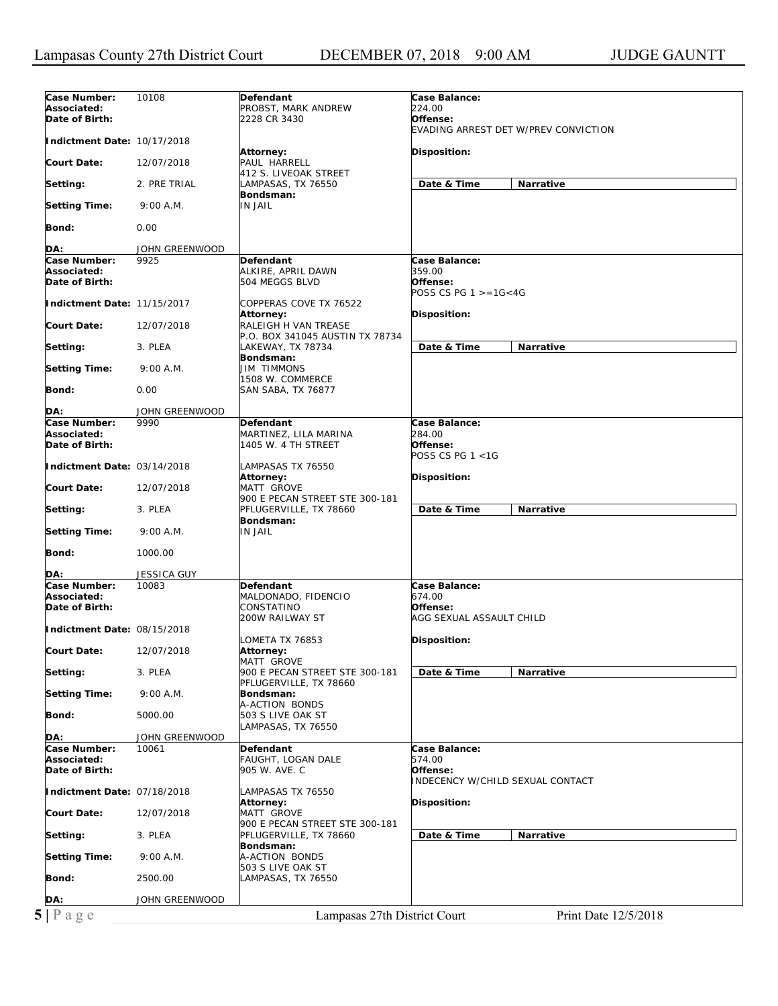| 224.00<br>Associated:<br>PROBST, MARK ANDREW<br>Date of Birth:<br>Offense:<br>2228 CR 3430<br>EVADING ARREST DET W/PREV CONVICTION<br>Indictment Date: 10/17/2018<br>Disposition:<br>Attorney:<br>PAUL HARRELL<br><b>Court Date:</b><br>12/07/2018<br>412 S. LIVEOAK STREET<br>Date & Time<br>Narrative<br>Setting:<br>2. PRE TRIAL<br>LAMPASAS, TX 76550<br>Bondsman:<br><b>IN JAIL</b><br><b>Setting Time:</b><br>9:00 A.M.<br>Bond:<br>0.00<br>DA:<br>JOHN GREENWOOD<br>Case Number:<br>9925<br><b>Defendant</b><br>Case Balance:<br>359.00<br>Associated:<br>ALKIRE, APRIL DAWN<br>Date of Birth:<br>504 MEGGS BLVD<br>Offense:<br>POSS CS PG $1 > = 16 < 4G$<br>Indictment Date: 11/15/2017<br>COPPERAS COVE TX 76522<br>Disposition:<br>Attorney:<br><b>Court Date:</b><br>RALEIGH H VAN TREASE<br>12/07/2018<br>P.O. BOX 341045 AUSTIN TX 78734<br>Date & Time<br><b>Narrative</b><br>Setting:<br>3. PLEA<br>LAKEWAY, TX 78734<br>Bondsman:<br><b>Setting Time:</b><br><b>JIM TIMMONS</b><br>9:00 A.M.<br>1508 W. COMMERCE<br>Bond:<br>0.00<br><b>SAN SABA, TX 76877</b><br>DA:<br>JOHN GREENWOOD<br>Case Number:<br>9990<br>Case Balance:<br>Defendant<br>284.00<br>Associated:<br>MARTINEZ, LILA MARINA<br>Offense:<br>Date of Birth:<br>1405 W. 4 TH STREET<br>POSS CS PG $1 < 1G$<br>Indictment Date: 03/14/2018<br>LAMPASAS TX 76550<br>Disposition:<br>Attorney:<br>MATT GROVE<br><b>Court Date:</b><br>12/07/2018<br>900 E PECAN STREET STE 300-181<br>PFLUGERVILLE, TX 78660<br>Date & Time<br>Setting:<br>3. PLEA<br>Narrative<br>Bondsman:<br><b>IN JAIL</b><br><b>Setting Time:</b><br>9:00 A.M.<br>Bond:<br>1000.00<br>JESSICA GUY<br>DA:<br>Case Number:<br>Case Balance:<br>10083<br><b>Defendant</b><br>Associated:<br>MALDONADO, FIDENCIO<br>674.00<br>Date of Birth:<br>CONSTATINO<br>Offense:<br>200W RAILWAY ST<br>AGG SEXUAL ASSAULT CHILD<br>Indictment Date: 08/15/2018<br>OMETA TX 76853<br>Disposition:<br><b>Court Date:</b><br>12/07/2018<br>Attorney:<br>MATT GROVE<br>900 E PECAN STREET STE 300-181<br>Date & Time<br>Setting:<br>3. PLEA<br>Narrative<br>PFLUGERVILLE, TX 78660<br><b>Setting Time:</b><br>9:00 A.M.<br>Bondsman:<br>A-ACTION BONDS<br>Bond:<br>5000.00<br>503 S LIVE OAK ST<br>LAMPASAS, TX 76550<br>DA:<br>JOHN GREENWOOD<br>Case Number:<br>Case Balance:<br>10061<br>Defendant<br>Associated:<br>574.00<br>FAUGHT, LOGAN DALE<br>Date of Birth:<br>905 W. AVE. C<br>Offense:<br><b>INDECENCY W/CHILD SEXUAL CONTACT</b><br>Indictment Date: 07/18/2018<br>LAMPASAS TX 76550<br>Disposition:<br>Attorney:<br><b>Court Date:</b><br>12/07/2018<br>MATT GROVE<br>900 E PECAN STREET STE 300-181<br>Date & Time<br>Narrative<br>Setting:<br>3. PLEA<br>PFLUGERVILLE, TX 78660<br>Bondsman:<br><b>Setting Time:</b><br>9:00 A.M.<br>A-ACTION BONDS<br>503 S LIVE OAK ST<br>Bond:<br>2500.00<br>LAMPASAS, TX 76550<br>DA:<br>JOHN GREENWOOD | Case Number: | 10108 | Defendant | <b>Case Balance:</b> |
|------------------------------------------------------------------------------------------------------------------------------------------------------------------------------------------------------------------------------------------------------------------------------------------------------------------------------------------------------------------------------------------------------------------------------------------------------------------------------------------------------------------------------------------------------------------------------------------------------------------------------------------------------------------------------------------------------------------------------------------------------------------------------------------------------------------------------------------------------------------------------------------------------------------------------------------------------------------------------------------------------------------------------------------------------------------------------------------------------------------------------------------------------------------------------------------------------------------------------------------------------------------------------------------------------------------------------------------------------------------------------------------------------------------------------------------------------------------------------------------------------------------------------------------------------------------------------------------------------------------------------------------------------------------------------------------------------------------------------------------------------------------------------------------------------------------------------------------------------------------------------------------------------------------------------------------------------------------------------------------------------------------------------------------------------------------------------------------------------------------------------------------------------------------------------------------------------------------------------------------------------------------------------------------------------------------------------------------------------------------------------------------------------------------------------------------------------------------------------------------------------------------------------------------------------------------------------------------------------------------------------------------------------------------------------------------------------------------------------------------------------------------------------------------------------------------------------------------------------------------------------------------------|--------------|-------|-----------|----------------------|
|                                                                                                                                                                                                                                                                                                                                                                                                                                                                                                                                                                                                                                                                                                                                                                                                                                                                                                                                                                                                                                                                                                                                                                                                                                                                                                                                                                                                                                                                                                                                                                                                                                                                                                                                                                                                                                                                                                                                                                                                                                                                                                                                                                                                                                                                                                                                                                                                                                                                                                                                                                                                                                                                                                                                                                                                                                                                                                |              |       |           |                      |
|                                                                                                                                                                                                                                                                                                                                                                                                                                                                                                                                                                                                                                                                                                                                                                                                                                                                                                                                                                                                                                                                                                                                                                                                                                                                                                                                                                                                                                                                                                                                                                                                                                                                                                                                                                                                                                                                                                                                                                                                                                                                                                                                                                                                                                                                                                                                                                                                                                                                                                                                                                                                                                                                                                                                                                                                                                                                                                |              |       |           |                      |
|                                                                                                                                                                                                                                                                                                                                                                                                                                                                                                                                                                                                                                                                                                                                                                                                                                                                                                                                                                                                                                                                                                                                                                                                                                                                                                                                                                                                                                                                                                                                                                                                                                                                                                                                                                                                                                                                                                                                                                                                                                                                                                                                                                                                                                                                                                                                                                                                                                                                                                                                                                                                                                                                                                                                                                                                                                                                                                |              |       |           |                      |
|                                                                                                                                                                                                                                                                                                                                                                                                                                                                                                                                                                                                                                                                                                                                                                                                                                                                                                                                                                                                                                                                                                                                                                                                                                                                                                                                                                                                                                                                                                                                                                                                                                                                                                                                                                                                                                                                                                                                                                                                                                                                                                                                                                                                                                                                                                                                                                                                                                                                                                                                                                                                                                                                                                                                                                                                                                                                                                |              |       |           |                      |
|                                                                                                                                                                                                                                                                                                                                                                                                                                                                                                                                                                                                                                                                                                                                                                                                                                                                                                                                                                                                                                                                                                                                                                                                                                                                                                                                                                                                                                                                                                                                                                                                                                                                                                                                                                                                                                                                                                                                                                                                                                                                                                                                                                                                                                                                                                                                                                                                                                                                                                                                                                                                                                                                                                                                                                                                                                                                                                |              |       |           |                      |
|                                                                                                                                                                                                                                                                                                                                                                                                                                                                                                                                                                                                                                                                                                                                                                                                                                                                                                                                                                                                                                                                                                                                                                                                                                                                                                                                                                                                                                                                                                                                                                                                                                                                                                                                                                                                                                                                                                                                                                                                                                                                                                                                                                                                                                                                                                                                                                                                                                                                                                                                                                                                                                                                                                                                                                                                                                                                                                |              |       |           |                      |
|                                                                                                                                                                                                                                                                                                                                                                                                                                                                                                                                                                                                                                                                                                                                                                                                                                                                                                                                                                                                                                                                                                                                                                                                                                                                                                                                                                                                                                                                                                                                                                                                                                                                                                                                                                                                                                                                                                                                                                                                                                                                                                                                                                                                                                                                                                                                                                                                                                                                                                                                                                                                                                                                                                                                                                                                                                                                                                |              |       |           |                      |
|                                                                                                                                                                                                                                                                                                                                                                                                                                                                                                                                                                                                                                                                                                                                                                                                                                                                                                                                                                                                                                                                                                                                                                                                                                                                                                                                                                                                                                                                                                                                                                                                                                                                                                                                                                                                                                                                                                                                                                                                                                                                                                                                                                                                                                                                                                                                                                                                                                                                                                                                                                                                                                                                                                                                                                                                                                                                                                |              |       |           |                      |
|                                                                                                                                                                                                                                                                                                                                                                                                                                                                                                                                                                                                                                                                                                                                                                                                                                                                                                                                                                                                                                                                                                                                                                                                                                                                                                                                                                                                                                                                                                                                                                                                                                                                                                                                                                                                                                                                                                                                                                                                                                                                                                                                                                                                                                                                                                                                                                                                                                                                                                                                                                                                                                                                                                                                                                                                                                                                                                |              |       |           |                      |
|                                                                                                                                                                                                                                                                                                                                                                                                                                                                                                                                                                                                                                                                                                                                                                                                                                                                                                                                                                                                                                                                                                                                                                                                                                                                                                                                                                                                                                                                                                                                                                                                                                                                                                                                                                                                                                                                                                                                                                                                                                                                                                                                                                                                                                                                                                                                                                                                                                                                                                                                                                                                                                                                                                                                                                                                                                                                                                |              |       |           |                      |
|                                                                                                                                                                                                                                                                                                                                                                                                                                                                                                                                                                                                                                                                                                                                                                                                                                                                                                                                                                                                                                                                                                                                                                                                                                                                                                                                                                                                                                                                                                                                                                                                                                                                                                                                                                                                                                                                                                                                                                                                                                                                                                                                                                                                                                                                                                                                                                                                                                                                                                                                                                                                                                                                                                                                                                                                                                                                                                |              |       |           |                      |
|                                                                                                                                                                                                                                                                                                                                                                                                                                                                                                                                                                                                                                                                                                                                                                                                                                                                                                                                                                                                                                                                                                                                                                                                                                                                                                                                                                                                                                                                                                                                                                                                                                                                                                                                                                                                                                                                                                                                                                                                                                                                                                                                                                                                                                                                                                                                                                                                                                                                                                                                                                                                                                                                                                                                                                                                                                                                                                |              |       |           |                      |
|                                                                                                                                                                                                                                                                                                                                                                                                                                                                                                                                                                                                                                                                                                                                                                                                                                                                                                                                                                                                                                                                                                                                                                                                                                                                                                                                                                                                                                                                                                                                                                                                                                                                                                                                                                                                                                                                                                                                                                                                                                                                                                                                                                                                                                                                                                                                                                                                                                                                                                                                                                                                                                                                                                                                                                                                                                                                                                |              |       |           |                      |
|                                                                                                                                                                                                                                                                                                                                                                                                                                                                                                                                                                                                                                                                                                                                                                                                                                                                                                                                                                                                                                                                                                                                                                                                                                                                                                                                                                                                                                                                                                                                                                                                                                                                                                                                                                                                                                                                                                                                                                                                                                                                                                                                                                                                                                                                                                                                                                                                                                                                                                                                                                                                                                                                                                                                                                                                                                                                                                |              |       |           |                      |
|                                                                                                                                                                                                                                                                                                                                                                                                                                                                                                                                                                                                                                                                                                                                                                                                                                                                                                                                                                                                                                                                                                                                                                                                                                                                                                                                                                                                                                                                                                                                                                                                                                                                                                                                                                                                                                                                                                                                                                                                                                                                                                                                                                                                                                                                                                                                                                                                                                                                                                                                                                                                                                                                                                                                                                                                                                                                                                |              |       |           |                      |
|                                                                                                                                                                                                                                                                                                                                                                                                                                                                                                                                                                                                                                                                                                                                                                                                                                                                                                                                                                                                                                                                                                                                                                                                                                                                                                                                                                                                                                                                                                                                                                                                                                                                                                                                                                                                                                                                                                                                                                                                                                                                                                                                                                                                                                                                                                                                                                                                                                                                                                                                                                                                                                                                                                                                                                                                                                                                                                |              |       |           |                      |
|                                                                                                                                                                                                                                                                                                                                                                                                                                                                                                                                                                                                                                                                                                                                                                                                                                                                                                                                                                                                                                                                                                                                                                                                                                                                                                                                                                                                                                                                                                                                                                                                                                                                                                                                                                                                                                                                                                                                                                                                                                                                                                                                                                                                                                                                                                                                                                                                                                                                                                                                                                                                                                                                                                                                                                                                                                                                                                |              |       |           |                      |
|                                                                                                                                                                                                                                                                                                                                                                                                                                                                                                                                                                                                                                                                                                                                                                                                                                                                                                                                                                                                                                                                                                                                                                                                                                                                                                                                                                                                                                                                                                                                                                                                                                                                                                                                                                                                                                                                                                                                                                                                                                                                                                                                                                                                                                                                                                                                                                                                                                                                                                                                                                                                                                                                                                                                                                                                                                                                                                |              |       |           |                      |
|                                                                                                                                                                                                                                                                                                                                                                                                                                                                                                                                                                                                                                                                                                                                                                                                                                                                                                                                                                                                                                                                                                                                                                                                                                                                                                                                                                                                                                                                                                                                                                                                                                                                                                                                                                                                                                                                                                                                                                                                                                                                                                                                                                                                                                                                                                                                                                                                                                                                                                                                                                                                                                                                                                                                                                                                                                                                                                |              |       |           |                      |
|                                                                                                                                                                                                                                                                                                                                                                                                                                                                                                                                                                                                                                                                                                                                                                                                                                                                                                                                                                                                                                                                                                                                                                                                                                                                                                                                                                                                                                                                                                                                                                                                                                                                                                                                                                                                                                                                                                                                                                                                                                                                                                                                                                                                                                                                                                                                                                                                                                                                                                                                                                                                                                                                                                                                                                                                                                                                                                |              |       |           |                      |
|                                                                                                                                                                                                                                                                                                                                                                                                                                                                                                                                                                                                                                                                                                                                                                                                                                                                                                                                                                                                                                                                                                                                                                                                                                                                                                                                                                                                                                                                                                                                                                                                                                                                                                                                                                                                                                                                                                                                                                                                                                                                                                                                                                                                                                                                                                                                                                                                                                                                                                                                                                                                                                                                                                                                                                                                                                                                                                |              |       |           |                      |
|                                                                                                                                                                                                                                                                                                                                                                                                                                                                                                                                                                                                                                                                                                                                                                                                                                                                                                                                                                                                                                                                                                                                                                                                                                                                                                                                                                                                                                                                                                                                                                                                                                                                                                                                                                                                                                                                                                                                                                                                                                                                                                                                                                                                                                                                                                                                                                                                                                                                                                                                                                                                                                                                                                                                                                                                                                                                                                |              |       |           |                      |
|                                                                                                                                                                                                                                                                                                                                                                                                                                                                                                                                                                                                                                                                                                                                                                                                                                                                                                                                                                                                                                                                                                                                                                                                                                                                                                                                                                                                                                                                                                                                                                                                                                                                                                                                                                                                                                                                                                                                                                                                                                                                                                                                                                                                                                                                                                                                                                                                                                                                                                                                                                                                                                                                                                                                                                                                                                                                                                |              |       |           |                      |
|                                                                                                                                                                                                                                                                                                                                                                                                                                                                                                                                                                                                                                                                                                                                                                                                                                                                                                                                                                                                                                                                                                                                                                                                                                                                                                                                                                                                                                                                                                                                                                                                                                                                                                                                                                                                                                                                                                                                                                                                                                                                                                                                                                                                                                                                                                                                                                                                                                                                                                                                                                                                                                                                                                                                                                                                                                                                                                |              |       |           |                      |
|                                                                                                                                                                                                                                                                                                                                                                                                                                                                                                                                                                                                                                                                                                                                                                                                                                                                                                                                                                                                                                                                                                                                                                                                                                                                                                                                                                                                                                                                                                                                                                                                                                                                                                                                                                                                                                                                                                                                                                                                                                                                                                                                                                                                                                                                                                                                                                                                                                                                                                                                                                                                                                                                                                                                                                                                                                                                                                |              |       |           |                      |
|                                                                                                                                                                                                                                                                                                                                                                                                                                                                                                                                                                                                                                                                                                                                                                                                                                                                                                                                                                                                                                                                                                                                                                                                                                                                                                                                                                                                                                                                                                                                                                                                                                                                                                                                                                                                                                                                                                                                                                                                                                                                                                                                                                                                                                                                                                                                                                                                                                                                                                                                                                                                                                                                                                                                                                                                                                                                                                |              |       |           |                      |
|                                                                                                                                                                                                                                                                                                                                                                                                                                                                                                                                                                                                                                                                                                                                                                                                                                                                                                                                                                                                                                                                                                                                                                                                                                                                                                                                                                                                                                                                                                                                                                                                                                                                                                                                                                                                                                                                                                                                                                                                                                                                                                                                                                                                                                                                                                                                                                                                                                                                                                                                                                                                                                                                                                                                                                                                                                                                                                |              |       |           |                      |
|                                                                                                                                                                                                                                                                                                                                                                                                                                                                                                                                                                                                                                                                                                                                                                                                                                                                                                                                                                                                                                                                                                                                                                                                                                                                                                                                                                                                                                                                                                                                                                                                                                                                                                                                                                                                                                                                                                                                                                                                                                                                                                                                                                                                                                                                                                                                                                                                                                                                                                                                                                                                                                                                                                                                                                                                                                                                                                |              |       |           |                      |
|                                                                                                                                                                                                                                                                                                                                                                                                                                                                                                                                                                                                                                                                                                                                                                                                                                                                                                                                                                                                                                                                                                                                                                                                                                                                                                                                                                                                                                                                                                                                                                                                                                                                                                                                                                                                                                                                                                                                                                                                                                                                                                                                                                                                                                                                                                                                                                                                                                                                                                                                                                                                                                                                                                                                                                                                                                                                                                |              |       |           |                      |
|                                                                                                                                                                                                                                                                                                                                                                                                                                                                                                                                                                                                                                                                                                                                                                                                                                                                                                                                                                                                                                                                                                                                                                                                                                                                                                                                                                                                                                                                                                                                                                                                                                                                                                                                                                                                                                                                                                                                                                                                                                                                                                                                                                                                                                                                                                                                                                                                                                                                                                                                                                                                                                                                                                                                                                                                                                                                                                |              |       |           |                      |
|                                                                                                                                                                                                                                                                                                                                                                                                                                                                                                                                                                                                                                                                                                                                                                                                                                                                                                                                                                                                                                                                                                                                                                                                                                                                                                                                                                                                                                                                                                                                                                                                                                                                                                                                                                                                                                                                                                                                                                                                                                                                                                                                                                                                                                                                                                                                                                                                                                                                                                                                                                                                                                                                                                                                                                                                                                                                                                |              |       |           |                      |
|                                                                                                                                                                                                                                                                                                                                                                                                                                                                                                                                                                                                                                                                                                                                                                                                                                                                                                                                                                                                                                                                                                                                                                                                                                                                                                                                                                                                                                                                                                                                                                                                                                                                                                                                                                                                                                                                                                                                                                                                                                                                                                                                                                                                                                                                                                                                                                                                                                                                                                                                                                                                                                                                                                                                                                                                                                                                                                |              |       |           |                      |
|                                                                                                                                                                                                                                                                                                                                                                                                                                                                                                                                                                                                                                                                                                                                                                                                                                                                                                                                                                                                                                                                                                                                                                                                                                                                                                                                                                                                                                                                                                                                                                                                                                                                                                                                                                                                                                                                                                                                                                                                                                                                                                                                                                                                                                                                                                                                                                                                                                                                                                                                                                                                                                                                                                                                                                                                                                                                                                |              |       |           |                      |
|                                                                                                                                                                                                                                                                                                                                                                                                                                                                                                                                                                                                                                                                                                                                                                                                                                                                                                                                                                                                                                                                                                                                                                                                                                                                                                                                                                                                                                                                                                                                                                                                                                                                                                                                                                                                                                                                                                                                                                                                                                                                                                                                                                                                                                                                                                                                                                                                                                                                                                                                                                                                                                                                                                                                                                                                                                                                                                |              |       |           |                      |
|                                                                                                                                                                                                                                                                                                                                                                                                                                                                                                                                                                                                                                                                                                                                                                                                                                                                                                                                                                                                                                                                                                                                                                                                                                                                                                                                                                                                                                                                                                                                                                                                                                                                                                                                                                                                                                                                                                                                                                                                                                                                                                                                                                                                                                                                                                                                                                                                                                                                                                                                                                                                                                                                                                                                                                                                                                                                                                |              |       |           |                      |
|                                                                                                                                                                                                                                                                                                                                                                                                                                                                                                                                                                                                                                                                                                                                                                                                                                                                                                                                                                                                                                                                                                                                                                                                                                                                                                                                                                                                                                                                                                                                                                                                                                                                                                                                                                                                                                                                                                                                                                                                                                                                                                                                                                                                                                                                                                                                                                                                                                                                                                                                                                                                                                                                                                                                                                                                                                                                                                |              |       |           |                      |
|                                                                                                                                                                                                                                                                                                                                                                                                                                                                                                                                                                                                                                                                                                                                                                                                                                                                                                                                                                                                                                                                                                                                                                                                                                                                                                                                                                                                                                                                                                                                                                                                                                                                                                                                                                                                                                                                                                                                                                                                                                                                                                                                                                                                                                                                                                                                                                                                                                                                                                                                                                                                                                                                                                                                                                                                                                                                                                |              |       |           |                      |
|                                                                                                                                                                                                                                                                                                                                                                                                                                                                                                                                                                                                                                                                                                                                                                                                                                                                                                                                                                                                                                                                                                                                                                                                                                                                                                                                                                                                                                                                                                                                                                                                                                                                                                                                                                                                                                                                                                                                                                                                                                                                                                                                                                                                                                                                                                                                                                                                                                                                                                                                                                                                                                                                                                                                                                                                                                                                                                |              |       |           |                      |
|                                                                                                                                                                                                                                                                                                                                                                                                                                                                                                                                                                                                                                                                                                                                                                                                                                                                                                                                                                                                                                                                                                                                                                                                                                                                                                                                                                                                                                                                                                                                                                                                                                                                                                                                                                                                                                                                                                                                                                                                                                                                                                                                                                                                                                                                                                                                                                                                                                                                                                                                                                                                                                                                                                                                                                                                                                                                                                |              |       |           |                      |
|                                                                                                                                                                                                                                                                                                                                                                                                                                                                                                                                                                                                                                                                                                                                                                                                                                                                                                                                                                                                                                                                                                                                                                                                                                                                                                                                                                                                                                                                                                                                                                                                                                                                                                                                                                                                                                                                                                                                                                                                                                                                                                                                                                                                                                                                                                                                                                                                                                                                                                                                                                                                                                                                                                                                                                                                                                                                                                |              |       |           |                      |
|                                                                                                                                                                                                                                                                                                                                                                                                                                                                                                                                                                                                                                                                                                                                                                                                                                                                                                                                                                                                                                                                                                                                                                                                                                                                                                                                                                                                                                                                                                                                                                                                                                                                                                                                                                                                                                                                                                                                                                                                                                                                                                                                                                                                                                                                                                                                                                                                                                                                                                                                                                                                                                                                                                                                                                                                                                                                                                |              |       |           |                      |
|                                                                                                                                                                                                                                                                                                                                                                                                                                                                                                                                                                                                                                                                                                                                                                                                                                                                                                                                                                                                                                                                                                                                                                                                                                                                                                                                                                                                                                                                                                                                                                                                                                                                                                                                                                                                                                                                                                                                                                                                                                                                                                                                                                                                                                                                                                                                                                                                                                                                                                                                                                                                                                                                                                                                                                                                                                                                                                |              |       |           |                      |
|                                                                                                                                                                                                                                                                                                                                                                                                                                                                                                                                                                                                                                                                                                                                                                                                                                                                                                                                                                                                                                                                                                                                                                                                                                                                                                                                                                                                                                                                                                                                                                                                                                                                                                                                                                                                                                                                                                                                                                                                                                                                                                                                                                                                                                                                                                                                                                                                                                                                                                                                                                                                                                                                                                                                                                                                                                                                                                |              |       |           |                      |
|                                                                                                                                                                                                                                                                                                                                                                                                                                                                                                                                                                                                                                                                                                                                                                                                                                                                                                                                                                                                                                                                                                                                                                                                                                                                                                                                                                                                                                                                                                                                                                                                                                                                                                                                                                                                                                                                                                                                                                                                                                                                                                                                                                                                                                                                                                                                                                                                                                                                                                                                                                                                                                                                                                                                                                                                                                                                                                |              |       |           |                      |
|                                                                                                                                                                                                                                                                                                                                                                                                                                                                                                                                                                                                                                                                                                                                                                                                                                                                                                                                                                                                                                                                                                                                                                                                                                                                                                                                                                                                                                                                                                                                                                                                                                                                                                                                                                                                                                                                                                                                                                                                                                                                                                                                                                                                                                                                                                                                                                                                                                                                                                                                                                                                                                                                                                                                                                                                                                                                                                |              |       |           |                      |
|                                                                                                                                                                                                                                                                                                                                                                                                                                                                                                                                                                                                                                                                                                                                                                                                                                                                                                                                                                                                                                                                                                                                                                                                                                                                                                                                                                                                                                                                                                                                                                                                                                                                                                                                                                                                                                                                                                                                                                                                                                                                                                                                                                                                                                                                                                                                                                                                                                                                                                                                                                                                                                                                                                                                                                                                                                                                                                |              |       |           |                      |
|                                                                                                                                                                                                                                                                                                                                                                                                                                                                                                                                                                                                                                                                                                                                                                                                                                                                                                                                                                                                                                                                                                                                                                                                                                                                                                                                                                                                                                                                                                                                                                                                                                                                                                                                                                                                                                                                                                                                                                                                                                                                                                                                                                                                                                                                                                                                                                                                                                                                                                                                                                                                                                                                                                                                                                                                                                                                                                |              |       |           |                      |
|                                                                                                                                                                                                                                                                                                                                                                                                                                                                                                                                                                                                                                                                                                                                                                                                                                                                                                                                                                                                                                                                                                                                                                                                                                                                                                                                                                                                                                                                                                                                                                                                                                                                                                                                                                                                                                                                                                                                                                                                                                                                                                                                                                                                                                                                                                                                                                                                                                                                                                                                                                                                                                                                                                                                                                                                                                                                                                |              |       |           |                      |
|                                                                                                                                                                                                                                                                                                                                                                                                                                                                                                                                                                                                                                                                                                                                                                                                                                                                                                                                                                                                                                                                                                                                                                                                                                                                                                                                                                                                                                                                                                                                                                                                                                                                                                                                                                                                                                                                                                                                                                                                                                                                                                                                                                                                                                                                                                                                                                                                                                                                                                                                                                                                                                                                                                                                                                                                                                                                                                |              |       |           |                      |
|                                                                                                                                                                                                                                                                                                                                                                                                                                                                                                                                                                                                                                                                                                                                                                                                                                                                                                                                                                                                                                                                                                                                                                                                                                                                                                                                                                                                                                                                                                                                                                                                                                                                                                                                                                                                                                                                                                                                                                                                                                                                                                                                                                                                                                                                                                                                                                                                                                                                                                                                                                                                                                                                                                                                                                                                                                                                                                |              |       |           |                      |
|                                                                                                                                                                                                                                                                                                                                                                                                                                                                                                                                                                                                                                                                                                                                                                                                                                                                                                                                                                                                                                                                                                                                                                                                                                                                                                                                                                                                                                                                                                                                                                                                                                                                                                                                                                                                                                                                                                                                                                                                                                                                                                                                                                                                                                                                                                                                                                                                                                                                                                                                                                                                                                                                                                                                                                                                                                                                                                |              |       |           |                      |
|                                                                                                                                                                                                                                                                                                                                                                                                                                                                                                                                                                                                                                                                                                                                                                                                                                                                                                                                                                                                                                                                                                                                                                                                                                                                                                                                                                                                                                                                                                                                                                                                                                                                                                                                                                                                                                                                                                                                                                                                                                                                                                                                                                                                                                                                                                                                                                                                                                                                                                                                                                                                                                                                                                                                                                                                                                                                                                |              |       |           |                      |
|                                                                                                                                                                                                                                                                                                                                                                                                                                                                                                                                                                                                                                                                                                                                                                                                                                                                                                                                                                                                                                                                                                                                                                                                                                                                                                                                                                                                                                                                                                                                                                                                                                                                                                                                                                                                                                                                                                                                                                                                                                                                                                                                                                                                                                                                                                                                                                                                                                                                                                                                                                                                                                                                                                                                                                                                                                                                                                |              |       |           |                      |
|                                                                                                                                                                                                                                                                                                                                                                                                                                                                                                                                                                                                                                                                                                                                                                                                                                                                                                                                                                                                                                                                                                                                                                                                                                                                                                                                                                                                                                                                                                                                                                                                                                                                                                                                                                                                                                                                                                                                                                                                                                                                                                                                                                                                                                                                                                                                                                                                                                                                                                                                                                                                                                                                                                                                                                                                                                                                                                |              |       |           |                      |
|                                                                                                                                                                                                                                                                                                                                                                                                                                                                                                                                                                                                                                                                                                                                                                                                                                                                                                                                                                                                                                                                                                                                                                                                                                                                                                                                                                                                                                                                                                                                                                                                                                                                                                                                                                                                                                                                                                                                                                                                                                                                                                                                                                                                                                                                                                                                                                                                                                                                                                                                                                                                                                                                                                                                                                                                                                                                                                |              |       |           |                      |
|                                                                                                                                                                                                                                                                                                                                                                                                                                                                                                                                                                                                                                                                                                                                                                                                                                                                                                                                                                                                                                                                                                                                                                                                                                                                                                                                                                                                                                                                                                                                                                                                                                                                                                                                                                                                                                                                                                                                                                                                                                                                                                                                                                                                                                                                                                                                                                                                                                                                                                                                                                                                                                                                                                                                                                                                                                                                                                |              |       |           |                      |
|                                                                                                                                                                                                                                                                                                                                                                                                                                                                                                                                                                                                                                                                                                                                                                                                                                                                                                                                                                                                                                                                                                                                                                                                                                                                                                                                                                                                                                                                                                                                                                                                                                                                                                                                                                                                                                                                                                                                                                                                                                                                                                                                                                                                                                                                                                                                                                                                                                                                                                                                                                                                                                                                                                                                                                                                                                                                                                |              |       |           |                      |
|                                                                                                                                                                                                                                                                                                                                                                                                                                                                                                                                                                                                                                                                                                                                                                                                                                                                                                                                                                                                                                                                                                                                                                                                                                                                                                                                                                                                                                                                                                                                                                                                                                                                                                                                                                                                                                                                                                                                                                                                                                                                                                                                                                                                                                                                                                                                                                                                                                                                                                                                                                                                                                                                                                                                                                                                                                                                                                |              |       |           |                      |
|                                                                                                                                                                                                                                                                                                                                                                                                                                                                                                                                                                                                                                                                                                                                                                                                                                                                                                                                                                                                                                                                                                                                                                                                                                                                                                                                                                                                                                                                                                                                                                                                                                                                                                                                                                                                                                                                                                                                                                                                                                                                                                                                                                                                                                                                                                                                                                                                                                                                                                                                                                                                                                                                                                                                                                                                                                                                                                |              |       |           |                      |
|                                                                                                                                                                                                                                                                                                                                                                                                                                                                                                                                                                                                                                                                                                                                                                                                                                                                                                                                                                                                                                                                                                                                                                                                                                                                                                                                                                                                                                                                                                                                                                                                                                                                                                                                                                                                                                                                                                                                                                                                                                                                                                                                                                                                                                                                                                                                                                                                                                                                                                                                                                                                                                                                                                                                                                                                                                                                                                |              |       |           |                      |
|                                                                                                                                                                                                                                                                                                                                                                                                                                                                                                                                                                                                                                                                                                                                                                                                                                                                                                                                                                                                                                                                                                                                                                                                                                                                                                                                                                                                                                                                                                                                                                                                                                                                                                                                                                                                                                                                                                                                                                                                                                                                                                                                                                                                                                                                                                                                                                                                                                                                                                                                                                                                                                                                                                                                                                                                                                                                                                |              |       |           |                      |
|                                                                                                                                                                                                                                                                                                                                                                                                                                                                                                                                                                                                                                                                                                                                                                                                                                                                                                                                                                                                                                                                                                                                                                                                                                                                                                                                                                                                                                                                                                                                                                                                                                                                                                                                                                                                                                                                                                                                                                                                                                                                                                                                                                                                                                                                                                                                                                                                                                                                                                                                                                                                                                                                                                                                                                                                                                                                                                |              |       |           |                      |
|                                                                                                                                                                                                                                                                                                                                                                                                                                                                                                                                                                                                                                                                                                                                                                                                                                                                                                                                                                                                                                                                                                                                                                                                                                                                                                                                                                                                                                                                                                                                                                                                                                                                                                                                                                                                                                                                                                                                                                                                                                                                                                                                                                                                                                                                                                                                                                                                                                                                                                                                                                                                                                                                                                                                                                                                                                                                                                |              |       |           |                      |
|                                                                                                                                                                                                                                                                                                                                                                                                                                                                                                                                                                                                                                                                                                                                                                                                                                                                                                                                                                                                                                                                                                                                                                                                                                                                                                                                                                                                                                                                                                                                                                                                                                                                                                                                                                                                                                                                                                                                                                                                                                                                                                                                                                                                                                                                                                                                                                                                                                                                                                                                                                                                                                                                                                                                                                                                                                                                                                |              |       |           |                      |
| 5 Page<br>Lampasas 27th District Court<br>Print Date 12/5/2018                                                                                                                                                                                                                                                                                                                                                                                                                                                                                                                                                                                                                                                                                                                                                                                                                                                                                                                                                                                                                                                                                                                                                                                                                                                                                                                                                                                                                                                                                                                                                                                                                                                                                                                                                                                                                                                                                                                                                                                                                                                                                                                                                                                                                                                                                                                                                                                                                                                                                                                                                                                                                                                                                                                                                                                                                                 |              |       |           |                      |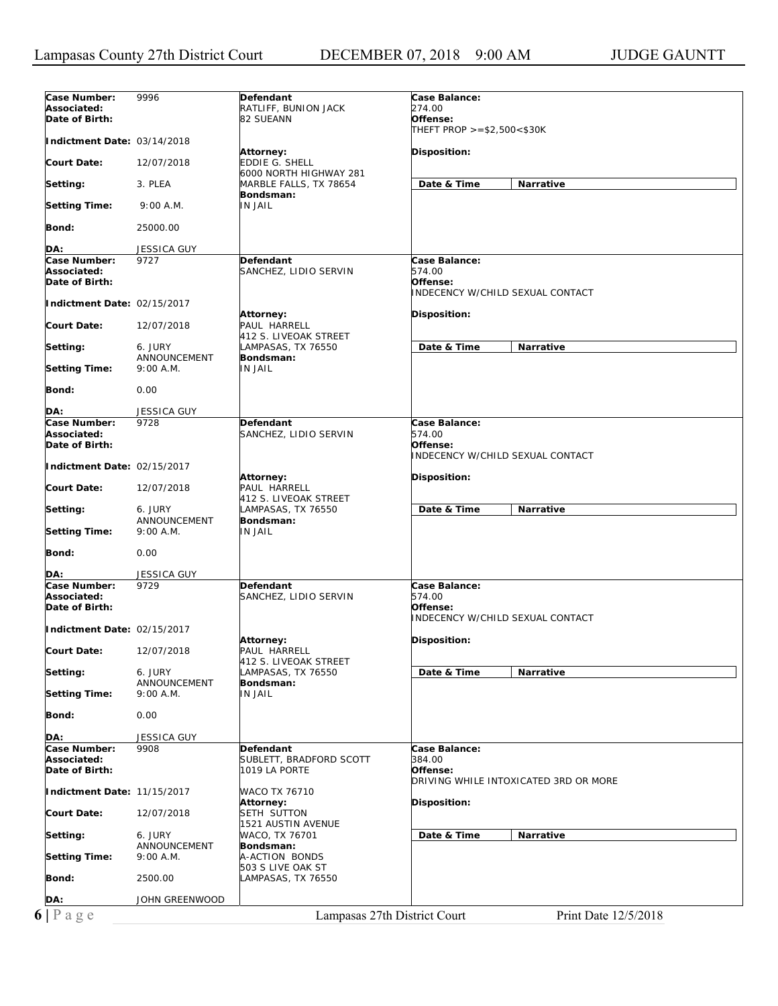| Defendant<br>Case Balance:<br>274.00<br>Associated:<br>RATLIFF, BUNION JACK<br>Date of Birth:<br>82 SUEANN<br>Offense:<br>THEFT PROP >=\$2,500<\$30K<br>Indictment Date: 03/14/2018<br>Disposition:<br>Attorney:<br>EDDIE G. SHELL<br>Court Date:<br>12/07/2018<br>6000 NORTH HIGHWAY 281<br>Date & Time<br>Narrative<br>Setting:<br>3. PLEA<br>MARBLE FALLS, TX 78654<br>Bondsman:<br>Setting Time:<br>9:00 A.M.<br>IN JAIL<br>Bond:<br>25000.00<br>DA:<br>JESSICA GUY<br>Case Number:<br>Defendant<br>Case Balance:<br>9727<br>Associated:<br>574.00<br>SANCHEZ, LIDIO SERVIN<br>Date of Birth:<br>Offense:<br>INDECENCY W/CHILD SEXUAL CONTACT<br>Indictment Date: 02/15/2017<br>Disposition:<br>Attorney:<br>PAUL HARRELL<br>Court Date:<br>12/07/2018<br>412 S. LIVEOAK STREET<br>Date & Time<br>Narrative<br>Setting:<br>6. JURY<br>LAMPASAS, TX 76550<br>ANNOUNCEMENT<br>Bondsman:<br>IN JAIL<br>Setting Time:<br>9:00 A.M.<br>Bond:<br>0.00<br>DA:<br><b>JESSICA GUY</b><br>Case Number:<br>Defendant<br>Case Balance:<br>9728<br>Associated:<br>574.00<br>SANCHEZ, LIDIO SERVIN<br>Offense:<br>Date of Birth:<br>INDECENCY W/CHILD SEXUAL CONTACT<br>Indictment Date: 02/15/2017<br>Disposition:<br>Attorney:<br>PAUL HARRELL<br>Court Date:<br>12/07/2018<br>412 S. LIVEOAK STREET<br>Date & Time<br>Narrative<br>Setting:<br>6. JURY<br>LAMPASAS, TX 76550<br>Bondsman:<br>ANNOUNCEMENT<br>IN JAIL<br><b>Setting Time:</b><br>9:00 A.M.<br><b>Bond:</b><br>0.00<br><b>JESSICA GUY</b><br>DA:<br>Case Number:<br>Case Balance:<br>9729<br>Defendant<br>Associated:<br>574.00<br>SANCHEZ, LIDIO SERVIN<br>Date of Birth:<br>Offense:<br><b>INDECENCY W/CHILD SEXUAL CONTACT</b><br>Indictment Date: 02/15/2017<br>Attorney:<br>Disposition:<br>PAUL HARRELL<br>12/07/2018<br>Court Date:<br>412 S. LIVEOAK STREET<br>LAMPASAS, TX 76550<br>Date & Time<br>Setting:<br>6. JURY<br>Narrative<br>ANNOUNCEMENT<br>Bondsman:<br><b>IN JAIL</b><br>Setting Time:<br>9:00 A.M.<br>0.00<br>Bond:<br>DA:<br><b>JESSICA GUY</b><br>Case Number:<br>Defendant<br>Case Balance:<br>9908<br>Associated:<br>SUBLETT, BRADFORD SCOTT<br>384.00<br>Date of Birth:<br>1019 LA PORTE<br>Offense:<br>DRIVING WHILE INTOXICATED 3RD OR MORE<br>Indictment Date: 11/15/2017<br>WACO TX 76710<br>Disposition:<br>Attorney:<br>SETH SUTTON<br><b>Court Date:</b><br>12/07/2018<br>1521 AUSTIN AVENUE<br>Date & Time<br>Narrative<br>Setting:<br>6. JURY<br>WACO, TX 76701<br>ANNOUNCEMENT<br>Bondsman:<br><b>Setting Time:</b><br>9:00 A.M.<br>A-ACTION BONDS<br>503 S LIVE OAK ST<br>Bond:<br>2500.00<br>LAMPASAS, TX 76550<br>DA:<br>JOHN GREENWOOD<br>$6 P \text{ a } g e$<br>Lampasas 27th District Court<br>Print Date 12/5/2018 |              |      |  |
|-------------------------------------------------------------------------------------------------------------------------------------------------------------------------------------------------------------------------------------------------------------------------------------------------------------------------------------------------------------------------------------------------------------------------------------------------------------------------------------------------------------------------------------------------------------------------------------------------------------------------------------------------------------------------------------------------------------------------------------------------------------------------------------------------------------------------------------------------------------------------------------------------------------------------------------------------------------------------------------------------------------------------------------------------------------------------------------------------------------------------------------------------------------------------------------------------------------------------------------------------------------------------------------------------------------------------------------------------------------------------------------------------------------------------------------------------------------------------------------------------------------------------------------------------------------------------------------------------------------------------------------------------------------------------------------------------------------------------------------------------------------------------------------------------------------------------------------------------------------------------------------------------------------------------------------------------------------------------------------------------------------------------------------------------------------------------------------------------------------------------------------------------------------------------------------------------------------------------------------------------------------------------------------------------------------------------------------------------------------------------------------------------------------------------------------------------------------------------------------------------------------------------------------------------------------------------------------------------------------------------------------------------------------------------------------------------------------------------|--------------|------|--|
|                                                                                                                                                                                                                                                                                                                                                                                                                                                                                                                                                                                                                                                                                                                                                                                                                                                                                                                                                                                                                                                                                                                                                                                                                                                                                                                                                                                                                                                                                                                                                                                                                                                                                                                                                                                                                                                                                                                                                                                                                                                                                                                                                                                                                                                                                                                                                                                                                                                                                                                                                                                                                                                                                                                         | Case Number: | 9996 |  |
|                                                                                                                                                                                                                                                                                                                                                                                                                                                                                                                                                                                                                                                                                                                                                                                                                                                                                                                                                                                                                                                                                                                                                                                                                                                                                                                                                                                                                                                                                                                                                                                                                                                                                                                                                                                                                                                                                                                                                                                                                                                                                                                                                                                                                                                                                                                                                                                                                                                                                                                                                                                                                                                                                                                         |              |      |  |
|                                                                                                                                                                                                                                                                                                                                                                                                                                                                                                                                                                                                                                                                                                                                                                                                                                                                                                                                                                                                                                                                                                                                                                                                                                                                                                                                                                                                                                                                                                                                                                                                                                                                                                                                                                                                                                                                                                                                                                                                                                                                                                                                                                                                                                                                                                                                                                                                                                                                                                                                                                                                                                                                                                                         |              |      |  |
|                                                                                                                                                                                                                                                                                                                                                                                                                                                                                                                                                                                                                                                                                                                                                                                                                                                                                                                                                                                                                                                                                                                                                                                                                                                                                                                                                                                                                                                                                                                                                                                                                                                                                                                                                                                                                                                                                                                                                                                                                                                                                                                                                                                                                                                                                                                                                                                                                                                                                                                                                                                                                                                                                                                         |              |      |  |
|                                                                                                                                                                                                                                                                                                                                                                                                                                                                                                                                                                                                                                                                                                                                                                                                                                                                                                                                                                                                                                                                                                                                                                                                                                                                                                                                                                                                                                                                                                                                                                                                                                                                                                                                                                                                                                                                                                                                                                                                                                                                                                                                                                                                                                                                                                                                                                                                                                                                                                                                                                                                                                                                                                                         |              |      |  |
|                                                                                                                                                                                                                                                                                                                                                                                                                                                                                                                                                                                                                                                                                                                                                                                                                                                                                                                                                                                                                                                                                                                                                                                                                                                                                                                                                                                                                                                                                                                                                                                                                                                                                                                                                                                                                                                                                                                                                                                                                                                                                                                                                                                                                                                                                                                                                                                                                                                                                                                                                                                                                                                                                                                         |              |      |  |
|                                                                                                                                                                                                                                                                                                                                                                                                                                                                                                                                                                                                                                                                                                                                                                                                                                                                                                                                                                                                                                                                                                                                                                                                                                                                                                                                                                                                                                                                                                                                                                                                                                                                                                                                                                                                                                                                                                                                                                                                                                                                                                                                                                                                                                                                                                                                                                                                                                                                                                                                                                                                                                                                                                                         |              |      |  |
|                                                                                                                                                                                                                                                                                                                                                                                                                                                                                                                                                                                                                                                                                                                                                                                                                                                                                                                                                                                                                                                                                                                                                                                                                                                                                                                                                                                                                                                                                                                                                                                                                                                                                                                                                                                                                                                                                                                                                                                                                                                                                                                                                                                                                                                                                                                                                                                                                                                                                                                                                                                                                                                                                                                         |              |      |  |
|                                                                                                                                                                                                                                                                                                                                                                                                                                                                                                                                                                                                                                                                                                                                                                                                                                                                                                                                                                                                                                                                                                                                                                                                                                                                                                                                                                                                                                                                                                                                                                                                                                                                                                                                                                                                                                                                                                                                                                                                                                                                                                                                                                                                                                                                                                                                                                                                                                                                                                                                                                                                                                                                                                                         |              |      |  |
|                                                                                                                                                                                                                                                                                                                                                                                                                                                                                                                                                                                                                                                                                                                                                                                                                                                                                                                                                                                                                                                                                                                                                                                                                                                                                                                                                                                                                                                                                                                                                                                                                                                                                                                                                                                                                                                                                                                                                                                                                                                                                                                                                                                                                                                                                                                                                                                                                                                                                                                                                                                                                                                                                                                         |              |      |  |
|                                                                                                                                                                                                                                                                                                                                                                                                                                                                                                                                                                                                                                                                                                                                                                                                                                                                                                                                                                                                                                                                                                                                                                                                                                                                                                                                                                                                                                                                                                                                                                                                                                                                                                                                                                                                                                                                                                                                                                                                                                                                                                                                                                                                                                                                                                                                                                                                                                                                                                                                                                                                                                                                                                                         |              |      |  |
|                                                                                                                                                                                                                                                                                                                                                                                                                                                                                                                                                                                                                                                                                                                                                                                                                                                                                                                                                                                                                                                                                                                                                                                                                                                                                                                                                                                                                                                                                                                                                                                                                                                                                                                                                                                                                                                                                                                                                                                                                                                                                                                                                                                                                                                                                                                                                                                                                                                                                                                                                                                                                                                                                                                         |              |      |  |
|                                                                                                                                                                                                                                                                                                                                                                                                                                                                                                                                                                                                                                                                                                                                                                                                                                                                                                                                                                                                                                                                                                                                                                                                                                                                                                                                                                                                                                                                                                                                                                                                                                                                                                                                                                                                                                                                                                                                                                                                                                                                                                                                                                                                                                                                                                                                                                                                                                                                                                                                                                                                                                                                                                                         |              |      |  |
|                                                                                                                                                                                                                                                                                                                                                                                                                                                                                                                                                                                                                                                                                                                                                                                                                                                                                                                                                                                                                                                                                                                                                                                                                                                                                                                                                                                                                                                                                                                                                                                                                                                                                                                                                                                                                                                                                                                                                                                                                                                                                                                                                                                                                                                                                                                                                                                                                                                                                                                                                                                                                                                                                                                         |              |      |  |
|                                                                                                                                                                                                                                                                                                                                                                                                                                                                                                                                                                                                                                                                                                                                                                                                                                                                                                                                                                                                                                                                                                                                                                                                                                                                                                                                                                                                                                                                                                                                                                                                                                                                                                                                                                                                                                                                                                                                                                                                                                                                                                                                                                                                                                                                                                                                                                                                                                                                                                                                                                                                                                                                                                                         |              |      |  |
|                                                                                                                                                                                                                                                                                                                                                                                                                                                                                                                                                                                                                                                                                                                                                                                                                                                                                                                                                                                                                                                                                                                                                                                                                                                                                                                                                                                                                                                                                                                                                                                                                                                                                                                                                                                                                                                                                                                                                                                                                                                                                                                                                                                                                                                                                                                                                                                                                                                                                                                                                                                                                                                                                                                         |              |      |  |
|                                                                                                                                                                                                                                                                                                                                                                                                                                                                                                                                                                                                                                                                                                                                                                                                                                                                                                                                                                                                                                                                                                                                                                                                                                                                                                                                                                                                                                                                                                                                                                                                                                                                                                                                                                                                                                                                                                                                                                                                                                                                                                                                                                                                                                                                                                                                                                                                                                                                                                                                                                                                                                                                                                                         |              |      |  |
|                                                                                                                                                                                                                                                                                                                                                                                                                                                                                                                                                                                                                                                                                                                                                                                                                                                                                                                                                                                                                                                                                                                                                                                                                                                                                                                                                                                                                                                                                                                                                                                                                                                                                                                                                                                                                                                                                                                                                                                                                                                                                                                                                                                                                                                                                                                                                                                                                                                                                                                                                                                                                                                                                                                         |              |      |  |
|                                                                                                                                                                                                                                                                                                                                                                                                                                                                                                                                                                                                                                                                                                                                                                                                                                                                                                                                                                                                                                                                                                                                                                                                                                                                                                                                                                                                                                                                                                                                                                                                                                                                                                                                                                                                                                                                                                                                                                                                                                                                                                                                                                                                                                                                                                                                                                                                                                                                                                                                                                                                                                                                                                                         |              |      |  |
|                                                                                                                                                                                                                                                                                                                                                                                                                                                                                                                                                                                                                                                                                                                                                                                                                                                                                                                                                                                                                                                                                                                                                                                                                                                                                                                                                                                                                                                                                                                                                                                                                                                                                                                                                                                                                                                                                                                                                                                                                                                                                                                                                                                                                                                                                                                                                                                                                                                                                                                                                                                                                                                                                                                         |              |      |  |
|                                                                                                                                                                                                                                                                                                                                                                                                                                                                                                                                                                                                                                                                                                                                                                                                                                                                                                                                                                                                                                                                                                                                                                                                                                                                                                                                                                                                                                                                                                                                                                                                                                                                                                                                                                                                                                                                                                                                                                                                                                                                                                                                                                                                                                                                                                                                                                                                                                                                                                                                                                                                                                                                                                                         |              |      |  |
|                                                                                                                                                                                                                                                                                                                                                                                                                                                                                                                                                                                                                                                                                                                                                                                                                                                                                                                                                                                                                                                                                                                                                                                                                                                                                                                                                                                                                                                                                                                                                                                                                                                                                                                                                                                                                                                                                                                                                                                                                                                                                                                                                                                                                                                                                                                                                                                                                                                                                                                                                                                                                                                                                                                         |              |      |  |
|                                                                                                                                                                                                                                                                                                                                                                                                                                                                                                                                                                                                                                                                                                                                                                                                                                                                                                                                                                                                                                                                                                                                                                                                                                                                                                                                                                                                                                                                                                                                                                                                                                                                                                                                                                                                                                                                                                                                                                                                                                                                                                                                                                                                                                                                                                                                                                                                                                                                                                                                                                                                                                                                                                                         |              |      |  |
|                                                                                                                                                                                                                                                                                                                                                                                                                                                                                                                                                                                                                                                                                                                                                                                                                                                                                                                                                                                                                                                                                                                                                                                                                                                                                                                                                                                                                                                                                                                                                                                                                                                                                                                                                                                                                                                                                                                                                                                                                                                                                                                                                                                                                                                                                                                                                                                                                                                                                                                                                                                                                                                                                                                         |              |      |  |
|                                                                                                                                                                                                                                                                                                                                                                                                                                                                                                                                                                                                                                                                                                                                                                                                                                                                                                                                                                                                                                                                                                                                                                                                                                                                                                                                                                                                                                                                                                                                                                                                                                                                                                                                                                                                                                                                                                                                                                                                                                                                                                                                                                                                                                                                                                                                                                                                                                                                                                                                                                                                                                                                                                                         |              |      |  |
|                                                                                                                                                                                                                                                                                                                                                                                                                                                                                                                                                                                                                                                                                                                                                                                                                                                                                                                                                                                                                                                                                                                                                                                                                                                                                                                                                                                                                                                                                                                                                                                                                                                                                                                                                                                                                                                                                                                                                                                                                                                                                                                                                                                                                                                                                                                                                                                                                                                                                                                                                                                                                                                                                                                         |              |      |  |
|                                                                                                                                                                                                                                                                                                                                                                                                                                                                                                                                                                                                                                                                                                                                                                                                                                                                                                                                                                                                                                                                                                                                                                                                                                                                                                                                                                                                                                                                                                                                                                                                                                                                                                                                                                                                                                                                                                                                                                                                                                                                                                                                                                                                                                                                                                                                                                                                                                                                                                                                                                                                                                                                                                                         |              |      |  |
|                                                                                                                                                                                                                                                                                                                                                                                                                                                                                                                                                                                                                                                                                                                                                                                                                                                                                                                                                                                                                                                                                                                                                                                                                                                                                                                                                                                                                                                                                                                                                                                                                                                                                                                                                                                                                                                                                                                                                                                                                                                                                                                                                                                                                                                                                                                                                                                                                                                                                                                                                                                                                                                                                                                         |              |      |  |
|                                                                                                                                                                                                                                                                                                                                                                                                                                                                                                                                                                                                                                                                                                                                                                                                                                                                                                                                                                                                                                                                                                                                                                                                                                                                                                                                                                                                                                                                                                                                                                                                                                                                                                                                                                                                                                                                                                                                                                                                                                                                                                                                                                                                                                                                                                                                                                                                                                                                                                                                                                                                                                                                                                                         |              |      |  |
|                                                                                                                                                                                                                                                                                                                                                                                                                                                                                                                                                                                                                                                                                                                                                                                                                                                                                                                                                                                                                                                                                                                                                                                                                                                                                                                                                                                                                                                                                                                                                                                                                                                                                                                                                                                                                                                                                                                                                                                                                                                                                                                                                                                                                                                                                                                                                                                                                                                                                                                                                                                                                                                                                                                         |              |      |  |
|                                                                                                                                                                                                                                                                                                                                                                                                                                                                                                                                                                                                                                                                                                                                                                                                                                                                                                                                                                                                                                                                                                                                                                                                                                                                                                                                                                                                                                                                                                                                                                                                                                                                                                                                                                                                                                                                                                                                                                                                                                                                                                                                                                                                                                                                                                                                                                                                                                                                                                                                                                                                                                                                                                                         |              |      |  |
|                                                                                                                                                                                                                                                                                                                                                                                                                                                                                                                                                                                                                                                                                                                                                                                                                                                                                                                                                                                                                                                                                                                                                                                                                                                                                                                                                                                                                                                                                                                                                                                                                                                                                                                                                                                                                                                                                                                                                                                                                                                                                                                                                                                                                                                                                                                                                                                                                                                                                                                                                                                                                                                                                                                         |              |      |  |
|                                                                                                                                                                                                                                                                                                                                                                                                                                                                                                                                                                                                                                                                                                                                                                                                                                                                                                                                                                                                                                                                                                                                                                                                                                                                                                                                                                                                                                                                                                                                                                                                                                                                                                                                                                                                                                                                                                                                                                                                                                                                                                                                                                                                                                                                                                                                                                                                                                                                                                                                                                                                                                                                                                                         |              |      |  |
|                                                                                                                                                                                                                                                                                                                                                                                                                                                                                                                                                                                                                                                                                                                                                                                                                                                                                                                                                                                                                                                                                                                                                                                                                                                                                                                                                                                                                                                                                                                                                                                                                                                                                                                                                                                                                                                                                                                                                                                                                                                                                                                                                                                                                                                                                                                                                                                                                                                                                                                                                                                                                                                                                                                         |              |      |  |
|                                                                                                                                                                                                                                                                                                                                                                                                                                                                                                                                                                                                                                                                                                                                                                                                                                                                                                                                                                                                                                                                                                                                                                                                                                                                                                                                                                                                                                                                                                                                                                                                                                                                                                                                                                                                                                                                                                                                                                                                                                                                                                                                                                                                                                                                                                                                                                                                                                                                                                                                                                                                                                                                                                                         |              |      |  |
|                                                                                                                                                                                                                                                                                                                                                                                                                                                                                                                                                                                                                                                                                                                                                                                                                                                                                                                                                                                                                                                                                                                                                                                                                                                                                                                                                                                                                                                                                                                                                                                                                                                                                                                                                                                                                                                                                                                                                                                                                                                                                                                                                                                                                                                                                                                                                                                                                                                                                                                                                                                                                                                                                                                         |              |      |  |
|                                                                                                                                                                                                                                                                                                                                                                                                                                                                                                                                                                                                                                                                                                                                                                                                                                                                                                                                                                                                                                                                                                                                                                                                                                                                                                                                                                                                                                                                                                                                                                                                                                                                                                                                                                                                                                                                                                                                                                                                                                                                                                                                                                                                                                                                                                                                                                                                                                                                                                                                                                                                                                                                                                                         |              |      |  |
|                                                                                                                                                                                                                                                                                                                                                                                                                                                                                                                                                                                                                                                                                                                                                                                                                                                                                                                                                                                                                                                                                                                                                                                                                                                                                                                                                                                                                                                                                                                                                                                                                                                                                                                                                                                                                                                                                                                                                                                                                                                                                                                                                                                                                                                                                                                                                                                                                                                                                                                                                                                                                                                                                                                         |              |      |  |
|                                                                                                                                                                                                                                                                                                                                                                                                                                                                                                                                                                                                                                                                                                                                                                                                                                                                                                                                                                                                                                                                                                                                                                                                                                                                                                                                                                                                                                                                                                                                                                                                                                                                                                                                                                                                                                                                                                                                                                                                                                                                                                                                                                                                                                                                                                                                                                                                                                                                                                                                                                                                                                                                                                                         |              |      |  |
|                                                                                                                                                                                                                                                                                                                                                                                                                                                                                                                                                                                                                                                                                                                                                                                                                                                                                                                                                                                                                                                                                                                                                                                                                                                                                                                                                                                                                                                                                                                                                                                                                                                                                                                                                                                                                                                                                                                                                                                                                                                                                                                                                                                                                                                                                                                                                                                                                                                                                                                                                                                                                                                                                                                         |              |      |  |
|                                                                                                                                                                                                                                                                                                                                                                                                                                                                                                                                                                                                                                                                                                                                                                                                                                                                                                                                                                                                                                                                                                                                                                                                                                                                                                                                                                                                                                                                                                                                                                                                                                                                                                                                                                                                                                                                                                                                                                                                                                                                                                                                                                                                                                                                                                                                                                                                                                                                                                                                                                                                                                                                                                                         |              |      |  |
|                                                                                                                                                                                                                                                                                                                                                                                                                                                                                                                                                                                                                                                                                                                                                                                                                                                                                                                                                                                                                                                                                                                                                                                                                                                                                                                                                                                                                                                                                                                                                                                                                                                                                                                                                                                                                                                                                                                                                                                                                                                                                                                                                                                                                                                                                                                                                                                                                                                                                                                                                                                                                                                                                                                         |              |      |  |
|                                                                                                                                                                                                                                                                                                                                                                                                                                                                                                                                                                                                                                                                                                                                                                                                                                                                                                                                                                                                                                                                                                                                                                                                                                                                                                                                                                                                                                                                                                                                                                                                                                                                                                                                                                                                                                                                                                                                                                                                                                                                                                                                                                                                                                                                                                                                                                                                                                                                                                                                                                                                                                                                                                                         |              |      |  |
|                                                                                                                                                                                                                                                                                                                                                                                                                                                                                                                                                                                                                                                                                                                                                                                                                                                                                                                                                                                                                                                                                                                                                                                                                                                                                                                                                                                                                                                                                                                                                                                                                                                                                                                                                                                                                                                                                                                                                                                                                                                                                                                                                                                                                                                                                                                                                                                                                                                                                                                                                                                                                                                                                                                         |              |      |  |
|                                                                                                                                                                                                                                                                                                                                                                                                                                                                                                                                                                                                                                                                                                                                                                                                                                                                                                                                                                                                                                                                                                                                                                                                                                                                                                                                                                                                                                                                                                                                                                                                                                                                                                                                                                                                                                                                                                                                                                                                                                                                                                                                                                                                                                                                                                                                                                                                                                                                                                                                                                                                                                                                                                                         |              |      |  |
|                                                                                                                                                                                                                                                                                                                                                                                                                                                                                                                                                                                                                                                                                                                                                                                                                                                                                                                                                                                                                                                                                                                                                                                                                                                                                                                                                                                                                                                                                                                                                                                                                                                                                                                                                                                                                                                                                                                                                                                                                                                                                                                                                                                                                                                                                                                                                                                                                                                                                                                                                                                                                                                                                                                         |              |      |  |
|                                                                                                                                                                                                                                                                                                                                                                                                                                                                                                                                                                                                                                                                                                                                                                                                                                                                                                                                                                                                                                                                                                                                                                                                                                                                                                                                                                                                                                                                                                                                                                                                                                                                                                                                                                                                                                                                                                                                                                                                                                                                                                                                                                                                                                                                                                                                                                                                                                                                                                                                                                                                                                                                                                                         |              |      |  |
|                                                                                                                                                                                                                                                                                                                                                                                                                                                                                                                                                                                                                                                                                                                                                                                                                                                                                                                                                                                                                                                                                                                                                                                                                                                                                                                                                                                                                                                                                                                                                                                                                                                                                                                                                                                                                                                                                                                                                                                                                                                                                                                                                                                                                                                                                                                                                                                                                                                                                                                                                                                                                                                                                                                         |              |      |  |
|                                                                                                                                                                                                                                                                                                                                                                                                                                                                                                                                                                                                                                                                                                                                                                                                                                                                                                                                                                                                                                                                                                                                                                                                                                                                                                                                                                                                                                                                                                                                                                                                                                                                                                                                                                                                                                                                                                                                                                                                                                                                                                                                                                                                                                                                                                                                                                                                                                                                                                                                                                                                                                                                                                                         |              |      |  |
|                                                                                                                                                                                                                                                                                                                                                                                                                                                                                                                                                                                                                                                                                                                                                                                                                                                                                                                                                                                                                                                                                                                                                                                                                                                                                                                                                                                                                                                                                                                                                                                                                                                                                                                                                                                                                                                                                                                                                                                                                                                                                                                                                                                                                                                                                                                                                                                                                                                                                                                                                                                                                                                                                                                         |              |      |  |
|                                                                                                                                                                                                                                                                                                                                                                                                                                                                                                                                                                                                                                                                                                                                                                                                                                                                                                                                                                                                                                                                                                                                                                                                                                                                                                                                                                                                                                                                                                                                                                                                                                                                                                                                                                                                                                                                                                                                                                                                                                                                                                                                                                                                                                                                                                                                                                                                                                                                                                                                                                                                                                                                                                                         |              |      |  |
|                                                                                                                                                                                                                                                                                                                                                                                                                                                                                                                                                                                                                                                                                                                                                                                                                                                                                                                                                                                                                                                                                                                                                                                                                                                                                                                                                                                                                                                                                                                                                                                                                                                                                                                                                                                                                                                                                                                                                                                                                                                                                                                                                                                                                                                                                                                                                                                                                                                                                                                                                                                                                                                                                                                         |              |      |  |
|                                                                                                                                                                                                                                                                                                                                                                                                                                                                                                                                                                                                                                                                                                                                                                                                                                                                                                                                                                                                                                                                                                                                                                                                                                                                                                                                                                                                                                                                                                                                                                                                                                                                                                                                                                                                                                                                                                                                                                                                                                                                                                                                                                                                                                                                                                                                                                                                                                                                                                                                                                                                                                                                                                                         |              |      |  |
|                                                                                                                                                                                                                                                                                                                                                                                                                                                                                                                                                                                                                                                                                                                                                                                                                                                                                                                                                                                                                                                                                                                                                                                                                                                                                                                                                                                                                                                                                                                                                                                                                                                                                                                                                                                                                                                                                                                                                                                                                                                                                                                                                                                                                                                                                                                                                                                                                                                                                                                                                                                                                                                                                                                         |              |      |  |
|                                                                                                                                                                                                                                                                                                                                                                                                                                                                                                                                                                                                                                                                                                                                                                                                                                                                                                                                                                                                                                                                                                                                                                                                                                                                                                                                                                                                                                                                                                                                                                                                                                                                                                                                                                                                                                                                                                                                                                                                                                                                                                                                                                                                                                                                                                                                                                                                                                                                                                                                                                                                                                                                                                                         |              |      |  |
|                                                                                                                                                                                                                                                                                                                                                                                                                                                                                                                                                                                                                                                                                                                                                                                                                                                                                                                                                                                                                                                                                                                                                                                                                                                                                                                                                                                                                                                                                                                                                                                                                                                                                                                                                                                                                                                                                                                                                                                                                                                                                                                                                                                                                                                                                                                                                                                                                                                                                                                                                                                                                                                                                                                         |              |      |  |
|                                                                                                                                                                                                                                                                                                                                                                                                                                                                                                                                                                                                                                                                                                                                                                                                                                                                                                                                                                                                                                                                                                                                                                                                                                                                                                                                                                                                                                                                                                                                                                                                                                                                                                                                                                                                                                                                                                                                                                                                                                                                                                                                                                                                                                                                                                                                                                                                                                                                                                                                                                                                                                                                                                                         |              |      |  |
|                                                                                                                                                                                                                                                                                                                                                                                                                                                                                                                                                                                                                                                                                                                                                                                                                                                                                                                                                                                                                                                                                                                                                                                                                                                                                                                                                                                                                                                                                                                                                                                                                                                                                                                                                                                                                                                                                                                                                                                                                                                                                                                                                                                                                                                                                                                                                                                                                                                                                                                                                                                                                                                                                                                         |              |      |  |
|                                                                                                                                                                                                                                                                                                                                                                                                                                                                                                                                                                                                                                                                                                                                                                                                                                                                                                                                                                                                                                                                                                                                                                                                                                                                                                                                                                                                                                                                                                                                                                                                                                                                                                                                                                                                                                                                                                                                                                                                                                                                                                                                                                                                                                                                                                                                                                                                                                                                                                                                                                                                                                                                                                                         |              |      |  |
|                                                                                                                                                                                                                                                                                                                                                                                                                                                                                                                                                                                                                                                                                                                                                                                                                                                                                                                                                                                                                                                                                                                                                                                                                                                                                                                                                                                                                                                                                                                                                                                                                                                                                                                                                                                                                                                                                                                                                                                                                                                                                                                                                                                                                                                                                                                                                                                                                                                                                                                                                                                                                                                                                                                         |              |      |  |
|                                                                                                                                                                                                                                                                                                                                                                                                                                                                                                                                                                                                                                                                                                                                                                                                                                                                                                                                                                                                                                                                                                                                                                                                                                                                                                                                                                                                                                                                                                                                                                                                                                                                                                                                                                                                                                                                                                                                                                                                                                                                                                                                                                                                                                                                                                                                                                                                                                                                                                                                                                                                                                                                                                                         |              |      |  |
|                                                                                                                                                                                                                                                                                                                                                                                                                                                                                                                                                                                                                                                                                                                                                                                                                                                                                                                                                                                                                                                                                                                                                                                                                                                                                                                                                                                                                                                                                                                                                                                                                                                                                                                                                                                                                                                                                                                                                                                                                                                                                                                                                                                                                                                                                                                                                                                                                                                                                                                                                                                                                                                                                                                         |              |      |  |
|                                                                                                                                                                                                                                                                                                                                                                                                                                                                                                                                                                                                                                                                                                                                                                                                                                                                                                                                                                                                                                                                                                                                                                                                                                                                                                                                                                                                                                                                                                                                                                                                                                                                                                                                                                                                                                                                                                                                                                                                                                                                                                                                                                                                                                                                                                                                                                                                                                                                                                                                                                                                                                                                                                                         |              |      |  |
|                                                                                                                                                                                                                                                                                                                                                                                                                                                                                                                                                                                                                                                                                                                                                                                                                                                                                                                                                                                                                                                                                                                                                                                                                                                                                                                                                                                                                                                                                                                                                                                                                                                                                                                                                                                                                                                                                                                                                                                                                                                                                                                                                                                                                                                                                                                                                                                                                                                                                                                                                                                                                                                                                                                         |              |      |  |
|                                                                                                                                                                                                                                                                                                                                                                                                                                                                                                                                                                                                                                                                                                                                                                                                                                                                                                                                                                                                                                                                                                                                                                                                                                                                                                                                                                                                                                                                                                                                                                                                                                                                                                                                                                                                                                                                                                                                                                                                                                                                                                                                                                                                                                                                                                                                                                                                                                                                                                                                                                                                                                                                                                                         |              |      |  |
|                                                                                                                                                                                                                                                                                                                                                                                                                                                                                                                                                                                                                                                                                                                                                                                                                                                                                                                                                                                                                                                                                                                                                                                                                                                                                                                                                                                                                                                                                                                                                                                                                                                                                                                                                                                                                                                                                                                                                                                                                                                                                                                                                                                                                                                                                                                                                                                                                                                                                                                                                                                                                                                                                                                         |              |      |  |
|                                                                                                                                                                                                                                                                                                                                                                                                                                                                                                                                                                                                                                                                                                                                                                                                                                                                                                                                                                                                                                                                                                                                                                                                                                                                                                                                                                                                                                                                                                                                                                                                                                                                                                                                                                                                                                                                                                                                                                                                                                                                                                                                                                                                                                                                                                                                                                                                                                                                                                                                                                                                                                                                                                                         |              |      |  |
|                                                                                                                                                                                                                                                                                                                                                                                                                                                                                                                                                                                                                                                                                                                                                                                                                                                                                                                                                                                                                                                                                                                                                                                                                                                                                                                                                                                                                                                                                                                                                                                                                                                                                                                                                                                                                                                                                                                                                                                                                                                                                                                                                                                                                                                                                                                                                                                                                                                                                                                                                                                                                                                                                                                         |              |      |  |
|                                                                                                                                                                                                                                                                                                                                                                                                                                                                                                                                                                                                                                                                                                                                                                                                                                                                                                                                                                                                                                                                                                                                                                                                                                                                                                                                                                                                                                                                                                                                                                                                                                                                                                                                                                                                                                                                                                                                                                                                                                                                                                                                                                                                                                                                                                                                                                                                                                                                                                                                                                                                                                                                                                                         |              |      |  |
|                                                                                                                                                                                                                                                                                                                                                                                                                                                                                                                                                                                                                                                                                                                                                                                                                                                                                                                                                                                                                                                                                                                                                                                                                                                                                                                                                                                                                                                                                                                                                                                                                                                                                                                                                                                                                                                                                                                                                                                                                                                                                                                                                                                                                                                                                                                                                                                                                                                                                                                                                                                                                                                                                                                         |              |      |  |
|                                                                                                                                                                                                                                                                                                                                                                                                                                                                                                                                                                                                                                                                                                                                                                                                                                                                                                                                                                                                                                                                                                                                                                                                                                                                                                                                                                                                                                                                                                                                                                                                                                                                                                                                                                                                                                                                                                                                                                                                                                                                                                                                                                                                                                                                                                                                                                                                                                                                                                                                                                                                                                                                                                                         |              |      |  |
|                                                                                                                                                                                                                                                                                                                                                                                                                                                                                                                                                                                                                                                                                                                                                                                                                                                                                                                                                                                                                                                                                                                                                                                                                                                                                                                                                                                                                                                                                                                                                                                                                                                                                                                                                                                                                                                                                                                                                                                                                                                                                                                                                                                                                                                                                                                                                                                                                                                                                                                                                                                                                                                                                                                         |              |      |  |
|                                                                                                                                                                                                                                                                                                                                                                                                                                                                                                                                                                                                                                                                                                                                                                                                                                                                                                                                                                                                                                                                                                                                                                                                                                                                                                                                                                                                                                                                                                                                                                                                                                                                                                                                                                                                                                                                                                                                                                                                                                                                                                                                                                                                                                                                                                                                                                                                                                                                                                                                                                                                                                                                                                                         |              |      |  |
|                                                                                                                                                                                                                                                                                                                                                                                                                                                                                                                                                                                                                                                                                                                                                                                                                                                                                                                                                                                                                                                                                                                                                                                                                                                                                                                                                                                                                                                                                                                                                                                                                                                                                                                                                                                                                                                                                                                                                                                                                                                                                                                                                                                                                                                                                                                                                                                                                                                                                                                                                                                                                                                                                                                         |              |      |  |
|                                                                                                                                                                                                                                                                                                                                                                                                                                                                                                                                                                                                                                                                                                                                                                                                                                                                                                                                                                                                                                                                                                                                                                                                                                                                                                                                                                                                                                                                                                                                                                                                                                                                                                                                                                                                                                                                                                                                                                                                                                                                                                                                                                                                                                                                                                                                                                                                                                                                                                                                                                                                                                                                                                                         |              |      |  |
|                                                                                                                                                                                                                                                                                                                                                                                                                                                                                                                                                                                                                                                                                                                                                                                                                                                                                                                                                                                                                                                                                                                                                                                                                                                                                                                                                                                                                                                                                                                                                                                                                                                                                                                                                                                                                                                                                                                                                                                                                                                                                                                                                                                                                                                                                                                                                                                                                                                                                                                                                                                                                                                                                                                         |              |      |  |
|                                                                                                                                                                                                                                                                                                                                                                                                                                                                                                                                                                                                                                                                                                                                                                                                                                                                                                                                                                                                                                                                                                                                                                                                                                                                                                                                                                                                                                                                                                                                                                                                                                                                                                                                                                                                                                                                                                                                                                                                                                                                                                                                                                                                                                                                                                                                                                                                                                                                                                                                                                                                                                                                                                                         |              |      |  |
|                                                                                                                                                                                                                                                                                                                                                                                                                                                                                                                                                                                                                                                                                                                                                                                                                                                                                                                                                                                                                                                                                                                                                                                                                                                                                                                                                                                                                                                                                                                                                                                                                                                                                                                                                                                                                                                                                                                                                                                                                                                                                                                                                                                                                                                                                                                                                                                                                                                                                                                                                                                                                                                                                                                         |              |      |  |
|                                                                                                                                                                                                                                                                                                                                                                                                                                                                                                                                                                                                                                                                                                                                                                                                                                                                                                                                                                                                                                                                                                                                                                                                                                                                                                                                                                                                                                                                                                                                                                                                                                                                                                                                                                                                                                                                                                                                                                                                                                                                                                                                                                                                                                                                                                                                                                                                                                                                                                                                                                                                                                                                                                                         |              |      |  |
|                                                                                                                                                                                                                                                                                                                                                                                                                                                                                                                                                                                                                                                                                                                                                                                                                                                                                                                                                                                                                                                                                                                                                                                                                                                                                                                                                                                                                                                                                                                                                                                                                                                                                                                                                                                                                                                                                                                                                                                                                                                                                                                                                                                                                                                                                                                                                                                                                                                                                                                                                                                                                                                                                                                         |              |      |  |
|                                                                                                                                                                                                                                                                                                                                                                                                                                                                                                                                                                                                                                                                                                                                                                                                                                                                                                                                                                                                                                                                                                                                                                                                                                                                                                                                                                                                                                                                                                                                                                                                                                                                                                                                                                                                                                                                                                                                                                                                                                                                                                                                                                                                                                                                                                                                                                                                                                                                                                                                                                                                                                                                                                                         |              |      |  |
|                                                                                                                                                                                                                                                                                                                                                                                                                                                                                                                                                                                                                                                                                                                                                                                                                                                                                                                                                                                                                                                                                                                                                                                                                                                                                                                                                                                                                                                                                                                                                                                                                                                                                                                                                                                                                                                                                                                                                                                                                                                                                                                                                                                                                                                                                                                                                                                                                                                                                                                                                                                                                                                                                                                         |              |      |  |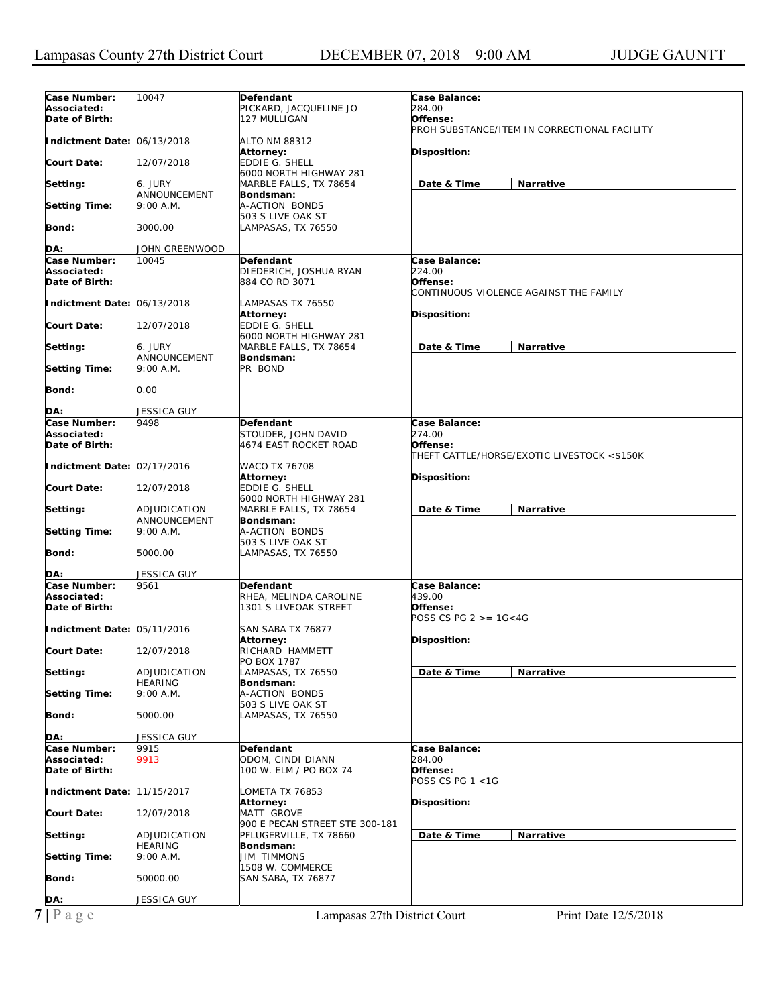| Case Number:                | 10047              | Defendant                                    | Case Balance:                                |
|-----------------------------|--------------------|----------------------------------------------|----------------------------------------------|
| Associated:                 |                    | PICKARD, JACQUELINE JO                       | 284.00                                       |
| Date of Birth:              |                    | 127 MULLIGAN                                 | Offense:                                     |
|                             |                    |                                              | PROH SUBSTANCE/ITEM IN CORRECTIONAL FACILITY |
| Indictment Date: 06/13/2018 |                    | ALTO NM 88312                                |                                              |
|                             |                    | Attorney:                                    | <b>Disposition:</b>                          |
| <b>Court Date:</b>          | 12/07/2018         | EDDIE G. SHELL                               |                                              |
|                             |                    | 6000 NORTH HIGHWAY 281                       |                                              |
| Setting:                    | 6. JURY            | MARBLE FALLS, TX 78654                       | Date & Time<br>Narrative                     |
|                             | ANNOUNCEMENT       | Bondsman:                                    |                                              |
| <b>Setting Time:</b>        | 9:00 A.M.          | A-ACTION BONDS                               |                                              |
|                             |                    | 503 S LIVE OAK ST                            |                                              |
| Bond:                       | 3000.00            | LAMPASAS, TX 76550                           |                                              |
|                             |                    |                                              |                                              |
| DA:                         | JOHN GREENWOOD     |                                              |                                              |
| Case Number:                | 10045              | Defendant                                    | Case Balance:                                |
| Associated:                 |                    | DIEDERICH, JOSHUA RYAN                       | 224.00                                       |
| Date of Birth:              |                    | 884 CO RD 3071                               | Offense:                                     |
|                             |                    |                                              | CONTINUOUS VIOLENCE AGAINST THE FAMILY       |
| Indictment Date: 06/13/2018 |                    | LAMPASAS TX 76550                            |                                              |
|                             |                    | Attorney:                                    | <b>Disposition:</b>                          |
| <b>Court Date:</b>          | 12/07/2018         | EDDIE G. SHELL                               |                                              |
|                             |                    | 6000 NORTH HIGHWAY 281                       |                                              |
| Setting:                    | 6. JURY            | MARBLE FALLS, TX 78654                       | <b>Narrative</b><br>Date & Time              |
|                             | ANNOUNCEMENT       | Bondsman:                                    |                                              |
| <b>Setting Time:</b>        | 9:00 A.M.          | PR BOND                                      |                                              |
|                             |                    |                                              |                                              |
| <b>Bond:</b>                | 0.00               |                                              |                                              |
|                             |                    |                                              |                                              |
| DA:                         | <b>JESSICA GUY</b> |                                              |                                              |
| Case Number:                | 9498               | Defendant                                    | Case Balance:                                |
| Associated:                 |                    |                                              | 274.00                                       |
|                             |                    | STOUDER, JOHN DAVID<br>4674 EAST ROCKET ROAD | Offense:                                     |
| Date of Birth:              |                    |                                              | THEFT CATTLE/HORSE/EXOTIC LIVESTOCK <\$150K  |
|                             |                    |                                              |                                              |
| Indictment Date: 02/17/2016 |                    | WACO TX 76708                                |                                              |
|                             |                    | Attorney:                                    | <b>Disposition:</b>                          |
| Court Date:                 | 12/07/2018         | EDDIE G. SHELL                               |                                              |
|                             |                    | 6000 NORTH HIGHWAY 281                       |                                              |
| Setting:                    | ADJUDICATION       | MARBLE FALLS, TX 78654                       | Date & Time<br><b>Narrative</b>              |
|                             | ANNOUNCEMENT       | Bondsman:                                    |                                              |
| <b>Setting Time:</b>        | 9:00 A.M.          | A-ACTION BONDS                               |                                              |
|                             |                    | 503 S LIVE OAK ST                            |                                              |
| Bond:                       | 5000.00            | LAMPASAS, TX 76550                           |                                              |
|                             |                    |                                              |                                              |
| DA:                         | JESSICA GUY        |                                              |                                              |
| Case Number:                | 9561               | Defendant                                    | Case Balance:                                |
| Associated:                 |                    | RHEA, MELINDA CAROLINE                       | 439.00                                       |
| Date of Birth:              |                    | 1301 S LIVEOAK STREET                        | Offense:                                     |
|                             |                    |                                              | POSS CS PG $2 > = 16 < 4G$                   |
| Indictment Date: 05/11/2016 |                    | SAN SABA TX 76877                            |                                              |
|                             |                    | Attorney:                                    | Disposition:                                 |
| Court Date:                 | 12/07/2018         | RICHARD HAMMETT                              |                                              |
|                             |                    | PO BOX 1787                                  |                                              |
| Setting:                    | ADJUDICATION       | LAMPASAS, TX 76550                           | Date & Time<br>Narrative                     |
|                             | <b>HEARING</b>     | Bondsman:                                    |                                              |
| <b>Setting Time:</b>        | 9:00 A.M.          | A-ACTION BONDS                               |                                              |
|                             |                    | 503 S LIVE OAK ST                            |                                              |
| <b>Bond:</b>                | 5000.00            | LAMPASAS, TX 76550                           |                                              |
|                             |                    |                                              |                                              |
| DA:                         | <b>JESSICA GUY</b> |                                              |                                              |
| Case Number:                | 9915               | Defendant                                    | Case Balance:                                |
| Associated:                 | 9913               | ODOM, CINDI DIANN                            | 284.00                                       |
| Date of Birth:              |                    | 100 W. ELM / PO BOX 74                       | Offense:                                     |
|                             |                    |                                              | POSS CS PG 1 <1G                             |
| Indictment Date: 11/15/2017 |                    | LOMETA TX 76853                              |                                              |
|                             |                    | Attorney:                                    | <b>Disposition:</b>                          |
| Court Date:                 | 12/07/2018         | MATT GROVE                                   |                                              |
|                             |                    | 900 E PECAN STREET STE 300-181               |                                              |
| Setting:                    | ADJUDICATION       | PFLUGERVILLE, TX 78660                       | Date & Time<br>Narrative                     |
|                             | <b>HEARING</b>     | Bondsman:                                    |                                              |
| <b>Setting Time:</b>        | 9:00 A.M.          | <b>JIM TIMMONS</b>                           |                                              |
|                             |                    | 1508 W. COMMERCE                             |                                              |
| Bond:                       | 50000.00           | SAN SABA, TX 76877                           |                                              |
|                             |                    |                                              |                                              |
| DA:                         | <b>JESSICA GUY</b> |                                              |                                              |
|                             |                    |                                              |                                              |
|                             |                    |                                              |                                              |
| $7$   Page                  |                    | Lampasas 27th District Court                 | Print Date 12/5/2018                         |